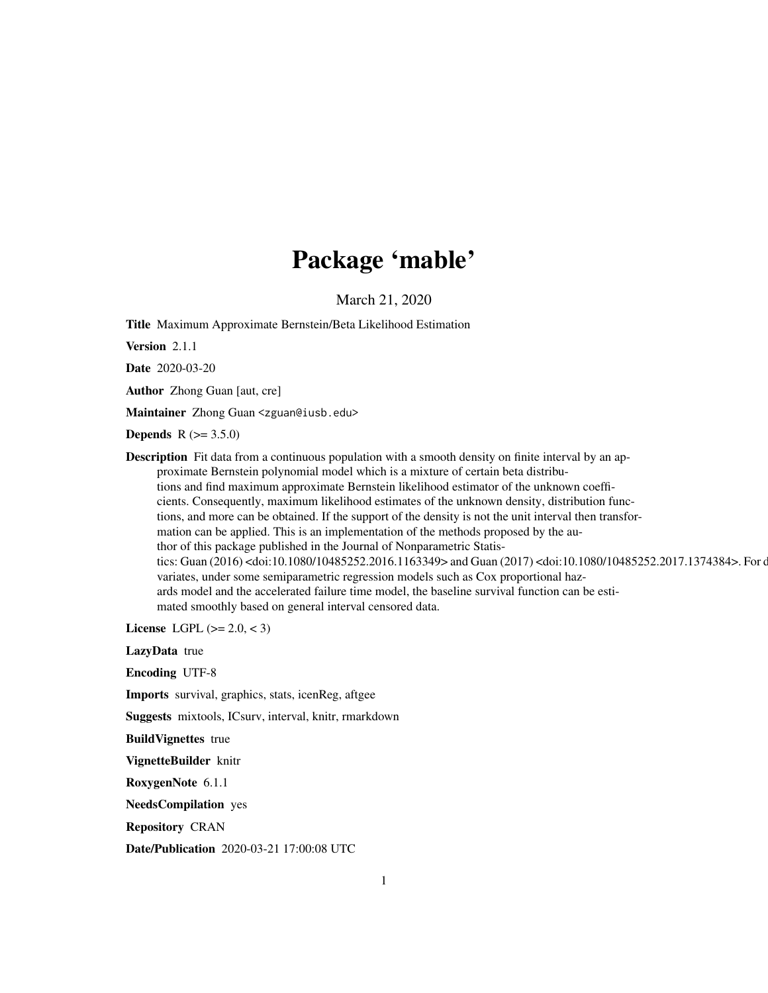# Package 'mable'

March 21, 2020

Title Maximum Approximate Bernstein/Beta Likelihood Estimation

Version 2.1.1

Date 2020-03-20

Author Zhong Guan [aut, cre]

Maintainer Zhong Guan <zguan@iusb.edu>

**Depends** R  $(>= 3.5.0)$ 

**Description** Fit data from a continuous population with a smooth density on finite interval by an approximate Bernstein polynomial model which is a mixture of certain beta distributions and find maximum approximate Bernstein likelihood estimator of the unknown coefficients. Consequently, maximum likelihood estimates of the unknown density, distribution functions, and more can be obtained. If the support of the density is not the unit interval then transformation can be applied. This is an implementation of the methods proposed by the author of this package published in the Journal of Nonparametric Statistics: Guan (2016) <doi:10.1080/10485252.2016.1163349> and Guan (2017) <doi:10.1080/10485252.2017.1374384>. For c variates, under some semiparametric regression models such as Cox proportional hazards model and the accelerated failure time model, the baseline survival function can be estimated smoothly based on general interval censored data.

License LGPL  $(>= 2.0, < 3)$ 

LazyData true

Encoding UTF-8

Imports survival, graphics, stats, icenReg, aftgee

Suggests mixtools, ICsurv, interval, knitr, rmarkdown

BuildVignettes true

VignetteBuilder knitr

RoxygenNote 6.1.1

NeedsCompilation yes

Repository CRAN

Date/Publication 2020-03-21 17:00:08 UTC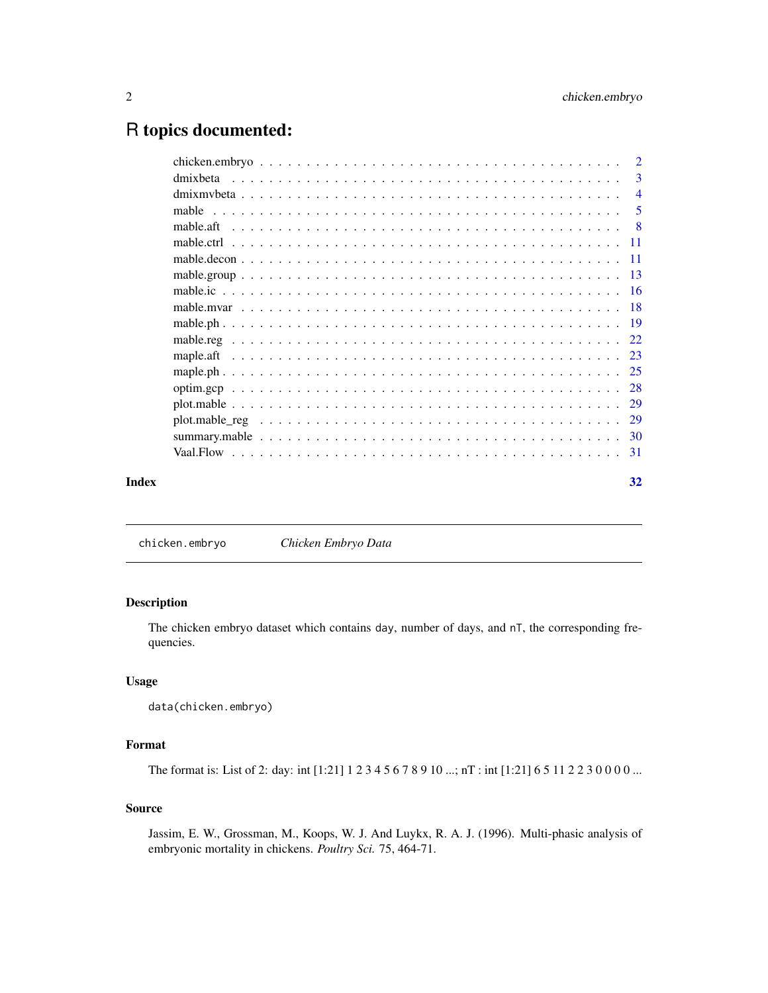# <span id="page-1-0"></span>R topics documented:

|       | dmixbeta  | -3             |
|-------|-----------|----------------|
|       |           | $\overline{4}$ |
|       |           | -5             |
|       | mable.aft |                |
|       |           |                |
|       |           |                |
|       |           |                |
|       |           |                |
|       |           |                |
|       |           |                |
|       |           |                |
|       | maple.aft |                |
|       |           |                |
|       |           |                |
|       |           |                |
|       |           |                |
|       |           |                |
|       |           |                |
| Index | 32        |                |

chicken.embryo *Chicken Embryo Data*

# Description

The chicken embryo dataset which contains day, number of days, and nT, the corresponding frequencies.

# Usage

data(chicken.embryo)

# Format

The format is: List of 2: day: int [1:21] 1 2 3 4 5 6 7 8 9 10 ...; nT : int [1:21] 6 5 11 2 2 3 0 0 0 0 ...

# Source

Jassim, E. W., Grossman, M., Koops, W. J. And Luykx, R. A. J. (1996). Multi-phasic analysis of embryonic mortality in chickens. *Poultry Sci.* 75, 464-71.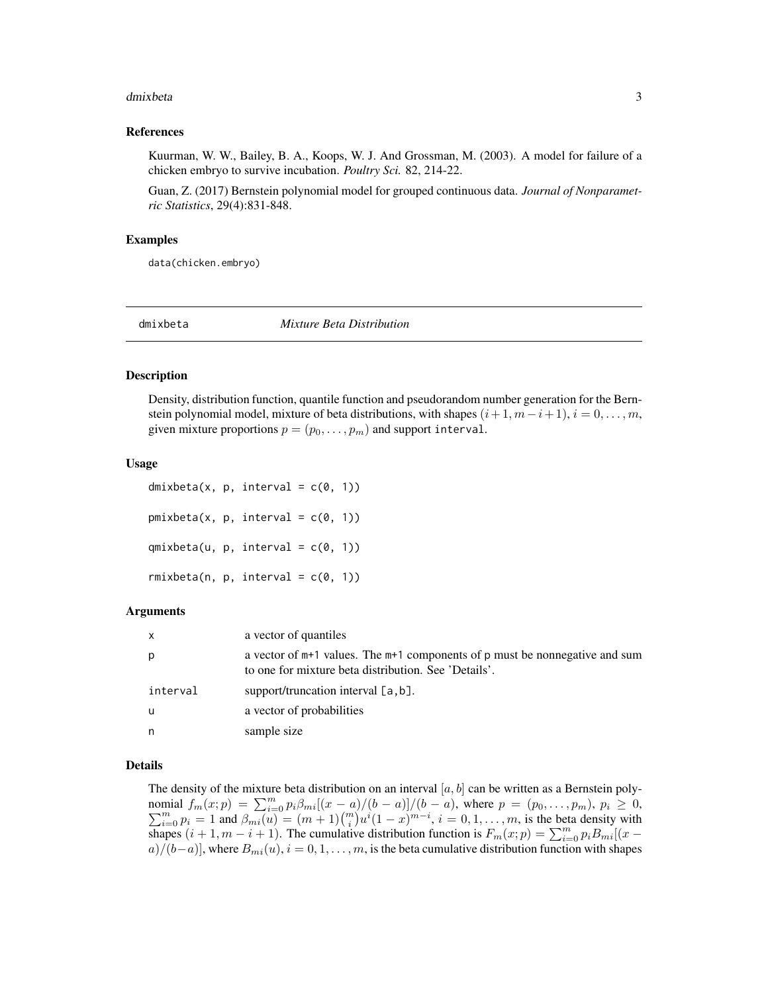#### <span id="page-2-0"></span>dmixbeta 3

#### References

Kuurman, W. W., Bailey, B. A., Koops, W. J. And Grossman, M. (2003). A model for failure of a chicken embryo to survive incubation. *Poultry Sci.* 82, 214-22.

Guan, Z. (2017) Bernstein polynomial model for grouped continuous data. *Journal of Nonparametric Statistics*, 29(4):831-848.

#### Examples

data(chicken.embryo)

dmixbeta *Mixture Beta Distribution*

#### **Description**

Density, distribution function, quantile function and pseudorandom number generation for the Bernstein polynomial model, mixture of beta distributions, with shapes  $(i+1, m-i+1)$ ,  $i = 0, \ldots, m$ , given mixture proportions  $p = (p_0, \ldots, p_m)$  and support interval.

#### Usage

dmixbeta(x, p, interval =  $c(\theta, 1)$ )  $pmixbeta(x, p, interval = c(0, 1))$  $qmixbeta(u, p, interval = c(0, 1))$  $r$ mixbeta(n, p, interval =  $c(0, 1)$ )

#### Arguments

| $\mathsf{x}$ | a vector of quantiles                                                                                                                   |
|--------------|-----------------------------------------------------------------------------------------------------------------------------------------|
| p            | a vector of $m+1$ values. The $m+1$ components of p must be nonnegative and sum<br>to one for mixture beta distribution. See 'Details'. |
| interval     | support/truncation interval $[a, b]$ .                                                                                                  |
| u            | a vector of probabilities                                                                                                               |
| n            | sample size                                                                                                                             |

# Details

The density of the mixture beta distribution on an interval  $[a, b]$  can be written as a Bernstein polynomial  $f_m(x; p) = \sum_{i=0}^m p_i \beta_{mi} [(x-a)/(b-a)]/(b-a)$ , where  $p = (p_0, \ldots, p_m)$ ,  $p_i \ge 0$ ,  $\sum_{i=0}^{m} p_i = 1$  and  $\beta_{mi}(u) = (m+1) {m \choose i} u^{i} (1-x)^{m-i}$ ,  $i = 0, 1, \ldots, m$ , is the beta density with shapes  $(i + 1, m - i + 1)$ . The cumulative distribution function is  $F_m(x; p) = \sum_{i=0}^{m} p_i B_{mi} [(x - p_i)/p_i]$  $a)/(b-a)$ , where  $B_{mi}(u)$ ,  $i = 0, 1, \ldots, m$ , is the beta cumulative distribution function with shapes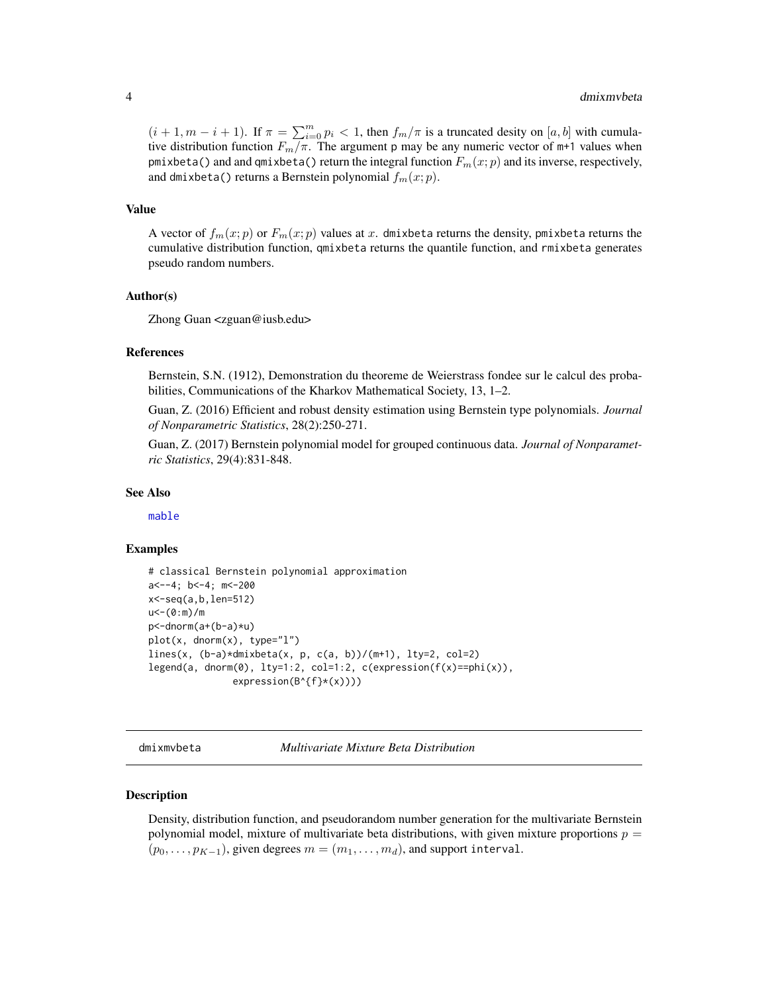<span id="page-3-0"></span> $(i + 1, m - i + 1)$ . If  $\pi = \sum_{i=0}^{m} p_i < 1$ , then  $f_m / \pi$  is a truncated desity on  $[a, b]$  with cumulative distribution function  $F_m/\pi$ . The argument p may be any numeric vector of m+1 values when pmixbeta() and and qmixbeta() return the integral function  $F_m(x; p)$  and its inverse, respectively, and dmixbeta() returns a Bernstein polynomial  $f_m(x; p)$ .

#### Value

A vector of  $f_m(x; p)$  or  $F_m(x; p)$  values at x. dmixbeta returns the density, pmixbeta returns the cumulative distribution function, qmixbeta returns the quantile function, and rmixbeta generates pseudo random numbers.

#### Author(s)

Zhong Guan <zguan@iusb.edu>

#### References

Bernstein, S.N. (1912), Demonstration du theoreme de Weierstrass fondee sur le calcul des probabilities, Communications of the Kharkov Mathematical Society, 13, 1–2.

Guan, Z. (2016) Efficient and robust density estimation using Bernstein type polynomials. *Journal of Nonparametric Statistics*, 28(2):250-271.

Guan, Z. (2017) Bernstein polynomial model for grouped continuous data. *Journal of Nonparametric Statistics*, 29(4):831-848.

#### See Also

[mable](#page-4-1)

#### Examples

```
# classical Bernstein polynomial approximation
a<--4; b<-4; m<-200
x<-seq(a,b,len=512)
u<-(0:m)/m
p<-dnorm(a+(b-a)*u)
plot(x, dnorm(x), type="l")
lines(x, (b-a)*dmixbeta(x, p, c(a, b))/(m+1), lty=2, col=2)
legend(a, dnorm(\emptyset), lty=1:2, col=1:2, c(expression(f(x)==phi(x)),
                expression(B<sup>^</sup>{f}*(x))))
```
dmixmvbeta *Multivariate Mixture Beta Distribution*

#### Description

Density, distribution function, and pseudorandom number generation for the multivariate Bernstein polynomial model, mixture of multivariate beta distributions, with given mixture proportions  $p =$  $(p_0, \ldots, p_{K-1})$ , given degrees  $m = (m_1, \ldots, m_d)$ , and support interval.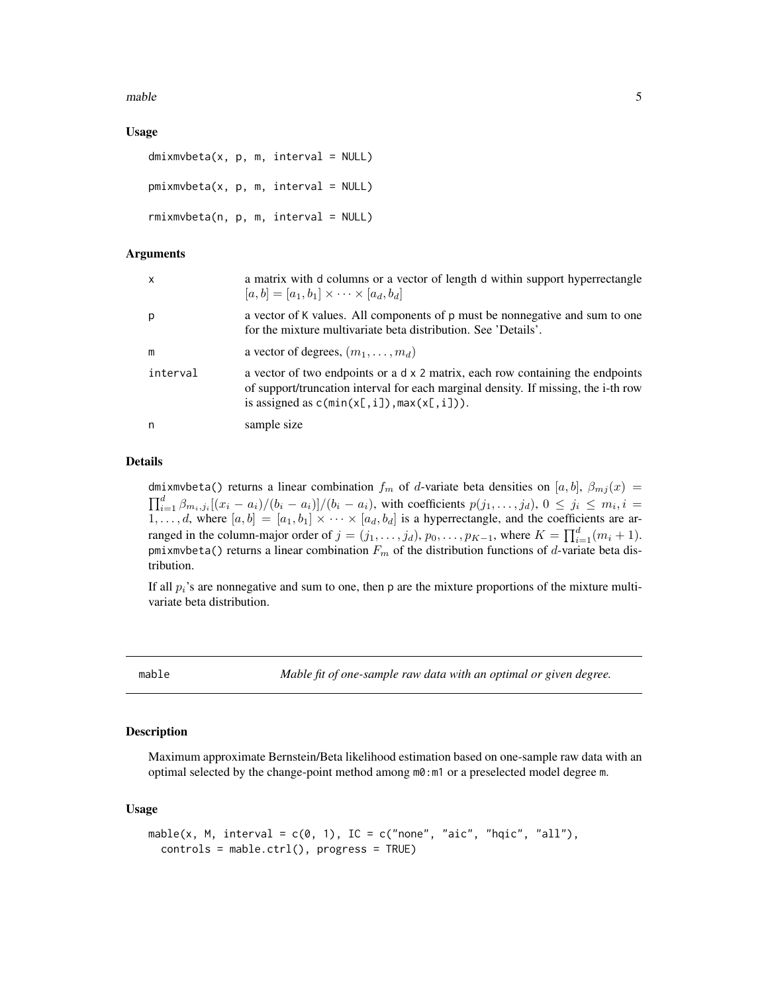<span id="page-4-0"></span> $m$ able  $5$ 

# Usage

```
dmixmvbeta(x, p, m, interval = NULL)pmixmvbeta(x, p, m, interval = NULL)rmixmvbeta(n, p, m, interval = NULL)
```
### Arguments

| $\mathsf{x}$ | a matrix with d columns or a vector of length d within support hyperrectangle<br>$[a, b] = [a_1, b_1] \times \cdots \times [a_d, b_d]$                                                                                  |
|--------------|-------------------------------------------------------------------------------------------------------------------------------------------------------------------------------------------------------------------------|
| p            | a vector of K values. All components of p must be nonnegative and sum to one<br>for the mixture multivariate beta distribution. See 'Details'.                                                                          |
| m            | a vector of degrees, $(m_1, \ldots, m_d)$                                                                                                                                                                               |
| interval     | a vector of two endpoints or a $dx$ 2 matrix, each row containing the endpoints<br>of support/truncation interval for each marginal density. If missing, the i-th row<br>is assigned as $c(\min(x[, i]), \max(x[, i]).$ |
| n            | sample size                                                                                                                                                                                                             |

# Details

dmixmvbeta() returns a linear combination  $f_m$  of d-variate beta densities on [a, b],  $\beta_{mj}(x)$  =  $\prod_{i=1}^d \beta_{m_i,j_i}[(x_i-a_i)/(b_i-a_i)]/(b_i-a_i)$ , with coefficients  $p(j_1,\ldots,j_d)$ ,  $0 \le j_i \le m_i, i =$  $1, \ldots, d$ , where  $[a, b] = [a_1, b_1] \times \cdots \times [a_d, b_d]$  is a hyperrectangle, and the coefficients are arranged in the column-major order of  $j = (j_1, \ldots, j_d)$ ,  $p_0, \ldots, p_{K-1}$ , where  $K = \prod_{i=1}^d (m_i + 1)$ . pmixmvbeta() returns a linear combination  $F_m$  of the distribution functions of d-variate beta distribution.

If all  $p_i$ 's are nonnegative and sum to one, then p are the mixture proportions of the mixture multivariate beta distribution.

<span id="page-4-1"></span>

mable *Mable fit of one-sample raw data with an optimal or given degree.*

#### Description

Maximum approximate Bernstein/Beta likelihood estimation based on one-sample raw data with an optimal selected by the change-point method among m0:m1 or a preselected model degree m.

#### Usage

```
mable(x, M, interval = c(0, 1), IC = c("none", "aic", "hqic", "all"),controls = mable.ctrl(), progress = TRUE)
```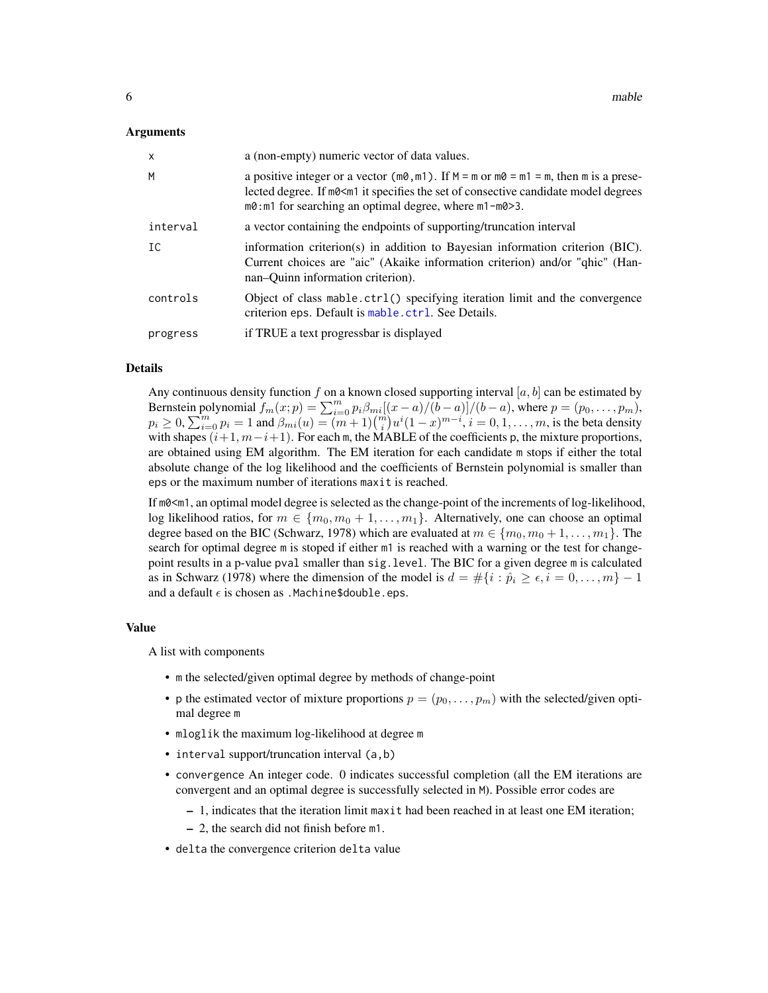#### <span id="page-5-0"></span>Arguments

| $\mathsf{x}$ | a (non-empty) numeric vector of data values.                                                                                                                                                                                                                  |
|--------------|---------------------------------------------------------------------------------------------------------------------------------------------------------------------------------------------------------------------------------------------------------------|
| M            | a positive integer or a vector ( $m\theta$ , $m1$ ). If $M = m$ or $m\theta = m1 = m$ , then m is a prese-<br>lected degree. If m0 < m 1 it specifies the set of consective candidate model degrees<br>m0: m1 for searching an optimal degree, where m1-m0>3. |
| interval     | a vector containing the endpoints of supporting/truncation interval                                                                                                                                                                                           |
| IC           | information criterion(s) in addition to Bayesian information criterion $(BIC)$ .<br>Current choices are "aic" (Akaike information criterion) and/or "qhic" (Han-<br>nan-Ouinn information criterion).                                                         |
| controls     | Object of class mable.ctrl() specifying iteration limit and the convergence<br>criterion eps. Default is mable.ctrl. See Details.                                                                                                                             |
| progress     | if TRUE a text progressbar is displayed                                                                                                                                                                                                                       |

#### Details

Any continuous density function f on a known closed supporting interval  $[a, b]$  can be estimated by Bernstein polynomial  $f_m(x; p) = \sum_{i=0}^m p_i \beta_{mi} [(x-a)/(b-a)]/(b-a)$ , where  $p = (p_0, \ldots, p_m)$ ,  $p_i \ge 0$ ,  $\sum_{i=0}^{m} p_i = 1$  and  $\beta_{mi}(u) = (m+1) {m \choose i} u^{i} (1-x)^{m-i}$ ,  $i = 0, 1, ..., m$ , is the beta density with shapes  $(i+1, m-i+1)$ . For each m, the MABLE of the coefficients p, the mixture proportions, are obtained using EM algorithm. The EM iteration for each candidate m stops if either the total absolute change of the log likelihood and the coefficients of Bernstein polynomial is smaller than eps or the maximum number of iterations maxit is reached.

If m0<m1, an optimal model degree is selected as the change-point of the increments of log-likelihood, log likelihood ratios, for  $m \in \{m_0, m_0 + 1, \ldots, m_1\}$ . Alternatively, one can choose an optimal degree based on the BIC (Schwarz, 1978) which are evaluated at  $m \in \{m_0, m_0 + 1, \ldots, m_1\}$ . The search for optimal degree m is stoped if either m1 is reached with a warning or the test for changepoint results in a p-value pval smaller than sig.level. The BIC for a given degree m is calculated as in Schwarz (1978) where the dimension of the model is  $d = \#\{i : \hat{p}_i \geq \epsilon, i = 0, \ldots, m\} - 1$ and a default  $\epsilon$  is chosen as .Machine\$double.eps.

#### Value

A list with components

- m the selected/given optimal degree by methods of change-point
- p the estimated vector of mixture proportions  $p = (p_0, \ldots, p_m)$  with the selected/given optimal degree m
- mloglik the maximum log-likelihood at degree m
- interval support/truncation interval (a,b)
- convergence An integer code. 0 indicates successful completion (all the EM iterations are convergent and an optimal degree is successfully selected in M). Possible error codes are
	- 1, indicates that the iteration limit maxit had been reached in at least one EM iteration;
	- 2, the search did not finish before m1.
- delta the convergence criterion delta value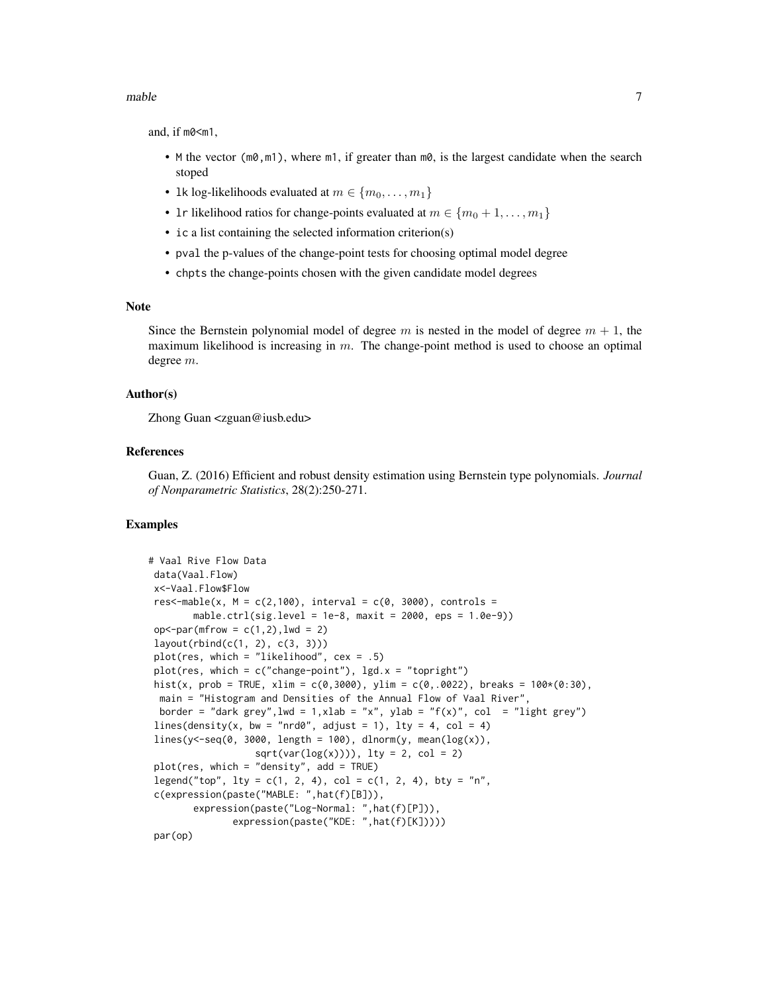and, if m0<m1,

- M the vector  $(m\theta, m1)$ , where  $m1$ , if greater than  $m\theta$ , is the largest candidate when the search stoped
- 1k log-likelihoods evaluated at  $m \in \{m_0, \ldots, m_1\}$
- 1r likelihood ratios for change-points evaluated at  $m \in \{m_0+1,\ldots,m_1\}$
- ic a list containing the selected information criterion(s)
- pval the p-values of the change-point tests for choosing optimal model degree
- chpts the change-points chosen with the given candidate model degrees

#### Note

Since the Bernstein polynomial model of degree m is nested in the model of degree  $m + 1$ , the maximum likelihood is increasing in  $m$ . The change-point method is used to choose an optimal degree m.

#### Author(s)

Zhong Guan <zguan@iusb.edu>

#### References

Guan, Z. (2016) Efficient and robust density estimation using Bernstein type polynomials. *Journal of Nonparametric Statistics*, 28(2):250-271.

```
# Vaal Rive Flow Data
data(Vaal.Flow)
x<-Vaal.Flow$Flow
res<-mable(x, M = c(2,100), interval = c(0, 3000), controls =
       mable.ctrl(sig.level = 1e-8, maxit = 2000, eps = 1.0e-9))
op<-par(mfrow = c(1,2),lwd = 2)
layout(rbind(c(1, 2), c(3, 3)))
plot(res, which = "likelihood", cex = .5)
plot(res, which = c("change-point"), lgd.x = "topright")
hist(x, prob = TRUE, xlim = c(0,3000), ylim = c(0,.0022), breaks = 100*(0:30),
 main = "Histogram and Densities of the Annual Flow of Vaal River",
 border = "dark grey", lwd = 1, xlab = "x", ylab = "f(x)", col = "light grey")
lines(density(x, bw = "nrd0", adjust = 1), lty = 4, col = 4)
lines(y < -seq(0, 3000, length = 100), dlnorm(y, mean(log(x)),sqrt(var(log(x)))), lty = 2, col = 2)plot(res, which = "density", add = TRUE)legend("top", lty = c(1, 2, 4), col = c(1, 2, 4), bty = "n",c(expression(paste("MABLE: ",hat(f)[B])),
       expression(paste("Log-Normal: ",hat(f)[P])),
               expression(paste("KDE: ",hat(f)[K]))))
```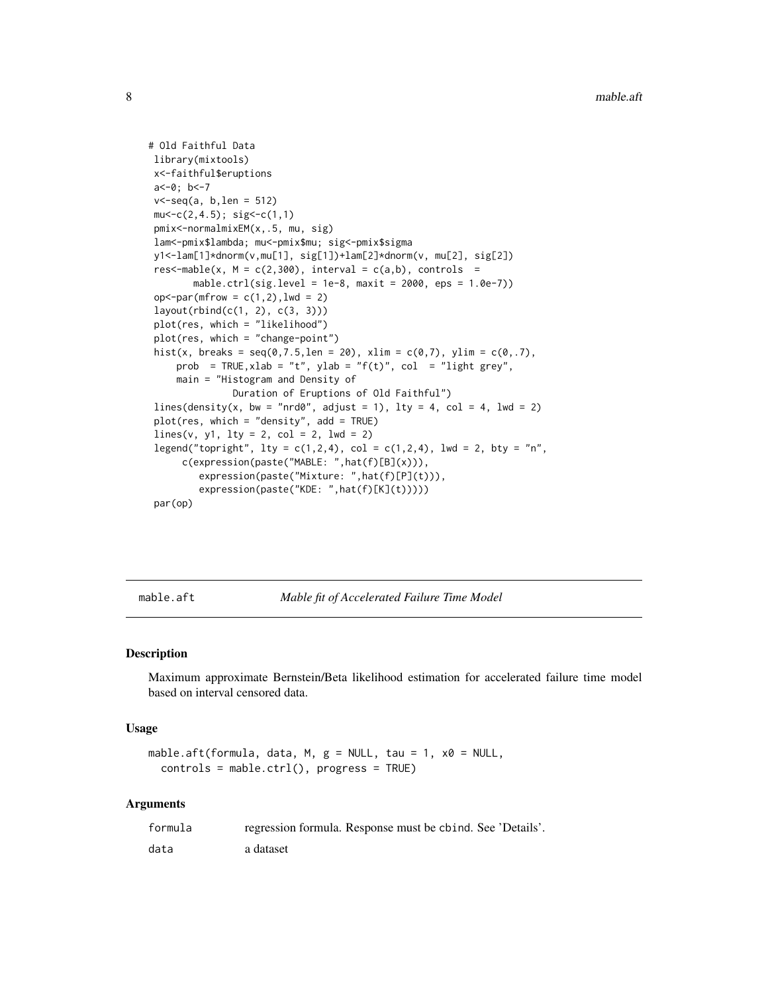```
# Old Faithful Data
library(mixtools)
x<-faithful$eruptions
a<-0; b<-7
v<-seq(a, b,len = 512)
mu < -c(2, 4.5); sig< -c(1, 1)pmix<-normalmixEM(x,.5, mu, sig)
lam<-pmix$lambda; mu<-pmix$mu; sig<-pmix$sigma
y1<-lam[1]*dnorm(v,mu[1], sig[1])+lam[2]*dnorm(v, mu[2], sig[2])
res<-mable(x, M = c(2,300), interval = c(a,b), controls =
       mable.ctrl(sig.level = 1e-8, maxit = 2000, eps = 1.0e-7))
op < -par(mfrow = c(1,2), lwd = 2)layout(rbind(c(1, 2), c(3, 3)))
plot(res, which = "likelihood")
plot(res, which = "change-point")
hist(x, breaks = seq(0,7.5,len = 20), xlim = c(0,7), ylim = c(0,.7),
    prob = TRUE, xlab = "t", ylab = "f(t)", col = "light grey",
    main = "Histogram and Density of
              Duration of Eruptions of Old Faithful")
lines(density(x, bw = "nrd0", adjust = 1), lty = 4, col = 4, lwd = 2)
plot(res, which = "density", add = TRUE)
lines(v, y1, lty = 2, col = 2, lwd = 2)legend("topright", lty = c(1,2,4), col = c(1,2,4), lwd = 2, bty = "n",
     c(expression(paste("MABLE: ",hat(f)[B](x))),
        expression(paste("Mixture: ",hat(f)[P](t))),
        expression(paste("KDE: ",hat(f)[K](t)))))
par(op)
```
<span id="page-7-1"></span>mable.aft *Mable fit of Accelerated Failure Time Model*

#### Description

Maximum approximate Bernstein/Beta likelihood estimation for accelerated failure time model based on interval censored data.

#### Usage

```
mable.aft(formula, data, M, g = NULL, tau = 1, x0 = NULL,
  controls = mable.ctrl(), progress = TRUE)
```
#### Arguments

| formula | regression formula. Response must be chind. See 'Details'. |
|---------|------------------------------------------------------------|
| data    | a dataset                                                  |

<span id="page-7-0"></span>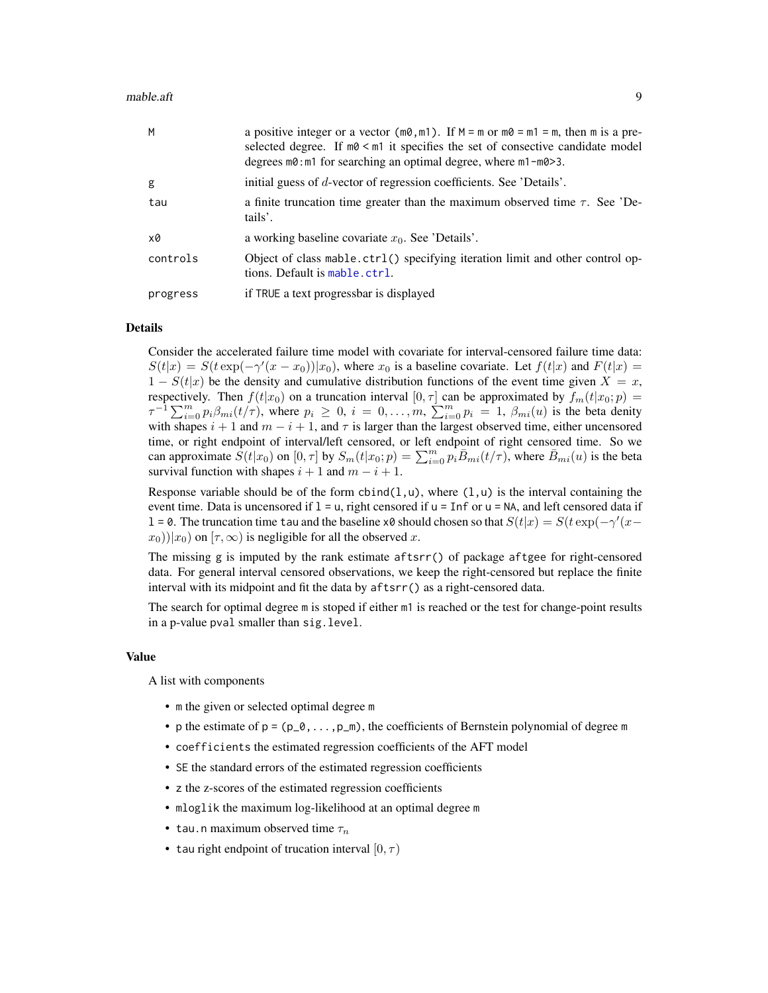<span id="page-8-0"></span>

| M        | a positive integer or a vector ( $m\theta$ , $m1$ ). If $M = m$ or $m\theta = m1 = m$ , then m is a pre-<br>selected degree. If $m0 \le m1$ it specifies the set of consective candidate model<br>degrees $m0$ : m1 for searching an optimal degree, where $m1 - m0 > 3$ . |
|----------|----------------------------------------------------------------------------------------------------------------------------------------------------------------------------------------------------------------------------------------------------------------------------|
| g        | initial guess of d-vector of regression coefficients. See 'Details'.                                                                                                                                                                                                       |
| tau      | a finite truncation time greater than the maximum observed time $\tau$ . See 'De-<br>tails'.                                                                                                                                                                               |
| x0       | a working baseline covariate $x_0$ . See 'Details'.                                                                                                                                                                                                                        |
| controls | Object of class mable.ctrl() specifying iteration limit and other control op-<br>tions. Default is mable.ctrl.                                                                                                                                                             |
| progress | if TRUE a text progressbar is displayed                                                                                                                                                                                                                                    |

#### Details

Consider the accelerated failure time model with covariate for interval-censored failure time data:  $S(t|x) = S(t \exp(-\gamma'(x-x_0))|x_0)$ , where  $x_0$  is a baseline covariate. Let  $f(t|x)$  and  $F(t|x)$  $1 - S(t|x)$  be the density and cumulative distribution functions of the event time given  $X = x$ , respectively. Then  $f(t|x_0)$  on a truncation interval  $[0, \tau]$  can be approximated by  $f_m(t|x_0; p)$  =  $\tau^{-1} \sum_{i=0}^{m} p_i \beta_{mi}(t/\tau)$ , where  $p_i \geq 0$ ,  $i = 0, \ldots, m$ ,  $\sum_{i=0}^{m} p_i = 1$ ,  $\beta_{mi}(u)$  is the beta denity with shapes  $i + 1$  and  $m - i + 1$ , and  $\tau$  is larger than the largest observed time, either uncensored time, or right endpoint of interval/left censored, or left endpoint of right censored time. So we can approximate  $S(t|x_0)$  on  $[0, \tau]$  by  $S_m(t|x_0; p) = \sum_{i=0}^m p_i \overline{B}_{mi}(t/\tau)$ , where  $\overline{B}_{mi}(u)$  is the beta survival function with shapes  $i + 1$  and  $m - i + 1$ .

Response variable should be of the form  $cbind(1, u)$ , where  $(1, u)$  is the interval containing the event time. Data is uncensored if  $1 = u$ , right censored if  $u = \text{Inf}$  or  $u = \text{NA}$ , and left censored data if l = 0. The truncation time tau and the baseline x0 should chosen so that  $S(t|x) = S(t \exp(-\gamma'(x-\gamma'))$  $(x_0)$ ) $(x_0)$  on  $(\tau, \infty)$  is negligible for all the observed x.

The missing g is imputed by the rank estimate aftsrr() of package aftgee for right-censored data. For general interval censored observations, we keep the right-censored but replace the finite interval with its midpoint and fit the data by aftsrr() as a right-censored data.

The search for optimal degree m is stoped if either m1 is reached or the test for change-point results in a p-value pval smaller than sig.level.

#### Value

A list with components

- m the given or selected optimal degree m
- p the estimate of  $p = (p_0, \ldots, p_m)$ , the coefficients of Bernstein polynomial of degree m
- coefficients the estimated regression coefficients of the AFT model
- SE the standard errors of the estimated regression coefficients
- z the z-scores of the estimated regression coefficients
- mloglik the maximum log-likelihood at an optimal degree m
- tau.n maximum observed time  $\tau_n$
- tau right endpoint of trucation interval  $[0, \tau)$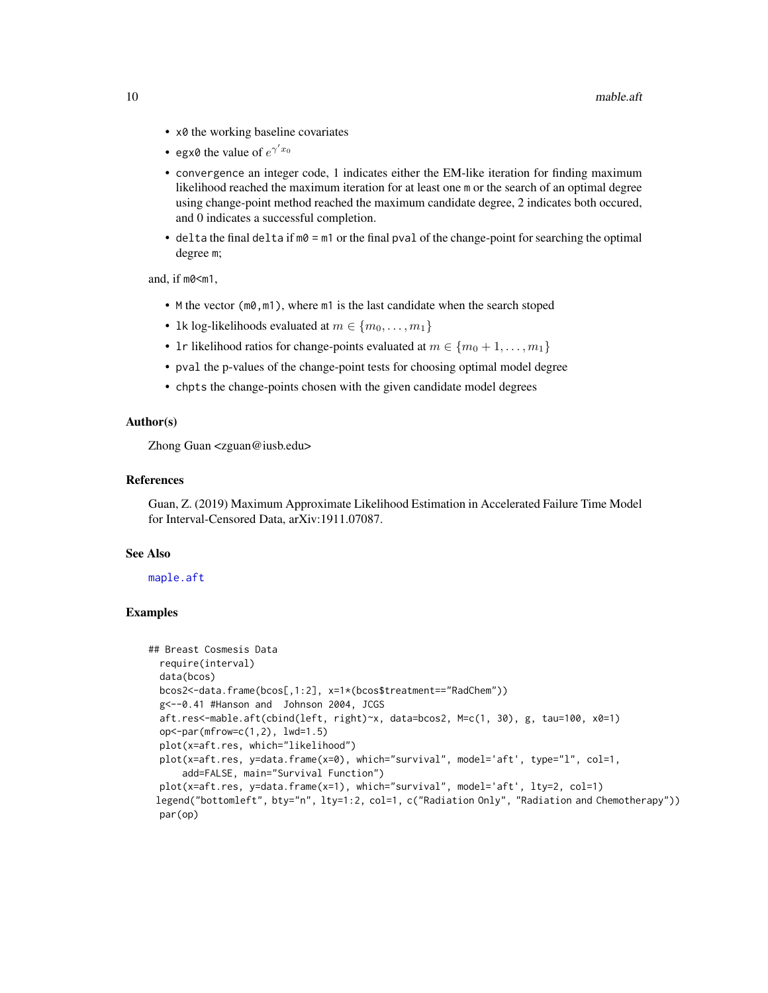- <span id="page-9-0"></span>• x0 the working baseline covariates
- egx0 the value of  $e^{\gamma' x_0}$
- convergence an integer code, 1 indicates either the EM-like iteration for finding maximum likelihood reached the maximum iteration for at least one m or the search of an optimal degree using change-point method reached the maximum candidate degree, 2 indicates both occured, and 0 indicates a successful completion.
- delta the final delta if  $m0 = m1$  or the final pval of the change-point for searching the optimal degree m;

and, if m0<m1,

- M the vector (m0, m1), where m1 is the last candidate when the search stoped
- 1k log-likelihoods evaluated at  $m \in \{m_0, \ldots, m_1\}$
- 1r likelihood ratios for change-points evaluated at  $m \in \{m_0 + 1, \ldots, m_1\}$
- pval the p-values of the change-point tests for choosing optimal model degree
- chpts the change-points chosen with the given candidate model degrees

#### Author(s)

Zhong Guan <zguan@iusb.edu>

#### References

Guan, Z. (2019) Maximum Approximate Likelihood Estimation in Accelerated Failure Time Model for Interval-Censored Data, arXiv:1911.07087.

# See Also

[maple.aft](#page-22-1)

```
## Breast Cosmesis Data
 require(interval)
 data(bcos)
 bcos2<-data.frame(bcos[,1:2], x=1*(bcos$treatment=="RadChem"))
 g<--0.41 #Hanson and Johnson 2004, JCGS
 aft.res<-mable.aft(cbind(left, right)~x, data=bcos2, M=c(1, 30), g, tau=100, x0=1)
 op<-par(mfrow=c(1,2), lwd=1.5)
 plot(x=aft.res, which="likelihood")
 plot(x=aft.res, y=data.frame(x=0), which="survival", model='aft', type="l", col=1,
     add=FALSE, main="Survival Function")
 plot(x=aft.res, y=data.frame(x=1), which="survival", model='aft', lty=2, col=1)
 legend("bottomleft", bty="n", lty=1:2, col=1, c("Radiation Only", "Radiation and Chemotherapy"))
 par(op)
```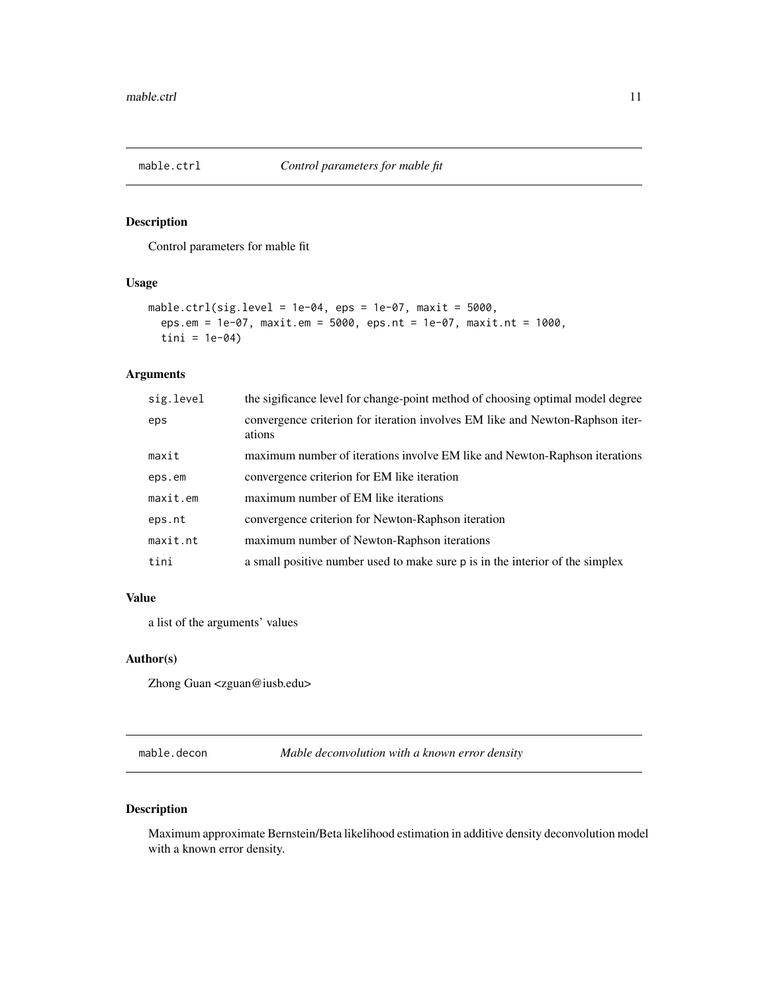<span id="page-10-1"></span><span id="page-10-0"></span>

# Description

Control parameters for mable fit

# Usage

```
mable.ctrl(sig.level = 1e-04, eps = 1e-07, maxit = 5000,
 eps.em = 1e-07, maxit.em = 5000, eps.nt = 1e-07, maxit.nt = 1000,
  tini = 1e-04)
```
# Arguments

| sig.level | the sigificance level for change-point method of choosing optimal model degree          |
|-----------|-----------------------------------------------------------------------------------------|
| eps       | convergence criterion for iteration involves EM like and Newton-Raphson iter-<br>ations |
| maxit     | maximum number of iterations involve EM like and Newton-Raphson iterations              |
| eps.em    | convergence criterion for EM like iteration                                             |
| maxit.em  | maximum number of EM like iterations                                                    |
| eps.nt    | convergence criterion for Newton-Raphson iteration                                      |
| maxit.nt  | maximum number of Newton-Raphson iterations                                             |
| tini      | a small positive number used to make sure p is in the interior of the simplex           |

# Value

a list of the arguments' values

# Author(s)

Zhong Guan <zguan@iusb.edu>

mable.decon *Mable deconvolution with a known error density*

# Description

Maximum approximate Bernstein/Beta likelihood estimation in additive density deconvolution model with a known error density.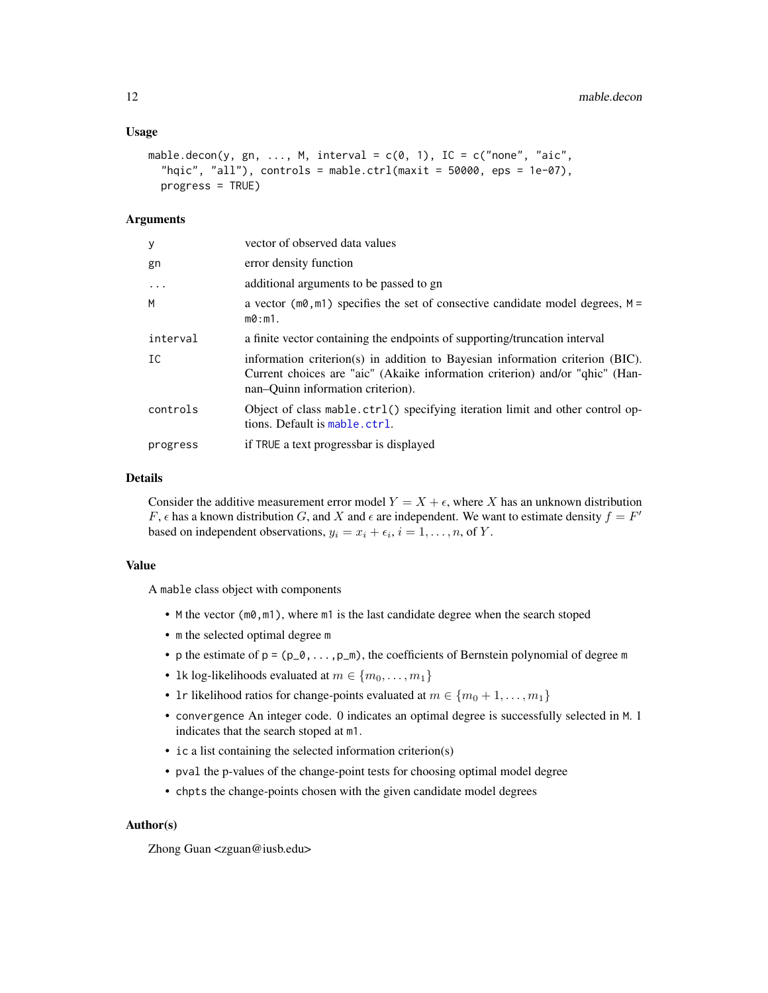#### <span id="page-11-0"></span>Usage

```
mable.decon(y, gn, ..., M, interval = c(0, 1), IC = c("none", "aic","hqic", "all"), controls = mable.ctrl(maxit = 50000, eps = 1e-07),
 progress = TRUE)
```
#### Arguments

| у          | vector of observed data values                                                                                                                                                                     |
|------------|----------------------------------------------------------------------------------------------------------------------------------------------------------------------------------------------------|
| gn         | error density function                                                                                                                                                                             |
| $\ddots$ . | additional arguments to be passed to gn                                                                                                                                                            |
| M          | a vector $(m\theta, m\mathbb{1})$ specifies the set of consective candidate model degrees, $M =$<br>$m0:m1$ .                                                                                      |
| interval   | a finite vector containing the endpoints of supporting/truncation interval                                                                                                                         |
| IC         | information criterion(s) in addition to Bayesian information criterion (BIC).<br>Current choices are "aic" (Akaike information criterion) and/or "qhic" (Han-<br>nan-Ouinn information criterion). |
| controls   | Object of class mable.ctrl() specifying iteration limit and other control op-<br>tions. Default is mable.ctrl.                                                                                     |
| progress   | if TRUE a text progressbar is displayed                                                                                                                                                            |
|            |                                                                                                                                                                                                    |

# Details

Consider the additive measurement error model  $Y = X + \epsilon$ , where X has an unknown distribution F,  $\epsilon$  has a known distribution G, and X and  $\epsilon$  are independent. We want to estimate density  $f = F'$ based on independent observations,  $y_i = x_i + \epsilon_i$ ,  $i = 1, ..., n$ , of Y.

# Value

A mable class object with components

- M the vector (m0, m1), where m1 is the last candidate degree when the search stoped
- m the selected optimal degree m
- p the estimate of  $p = (p_0, \ldots, p_m)$ , the coefficients of Bernstein polynomial of degree m
- 1k log-likelihoods evaluated at  $m \in \{m_0, \ldots, m_1\}$
- 1r likelihood ratios for change-points evaluated at  $m \in \{m_0 + 1, \ldots, m_1\}$
- convergence An integer code. 0 indicates an optimal degree is successfully selected in M. 1 indicates that the search stoped at m1.
- ic a list containing the selected information criterion(s)
- pval the p-values of the change-point tests for choosing optimal model degree
- chpts the change-points chosen with the given candidate model degrees

#### Author(s)

Zhong Guan <zguan@iusb.edu>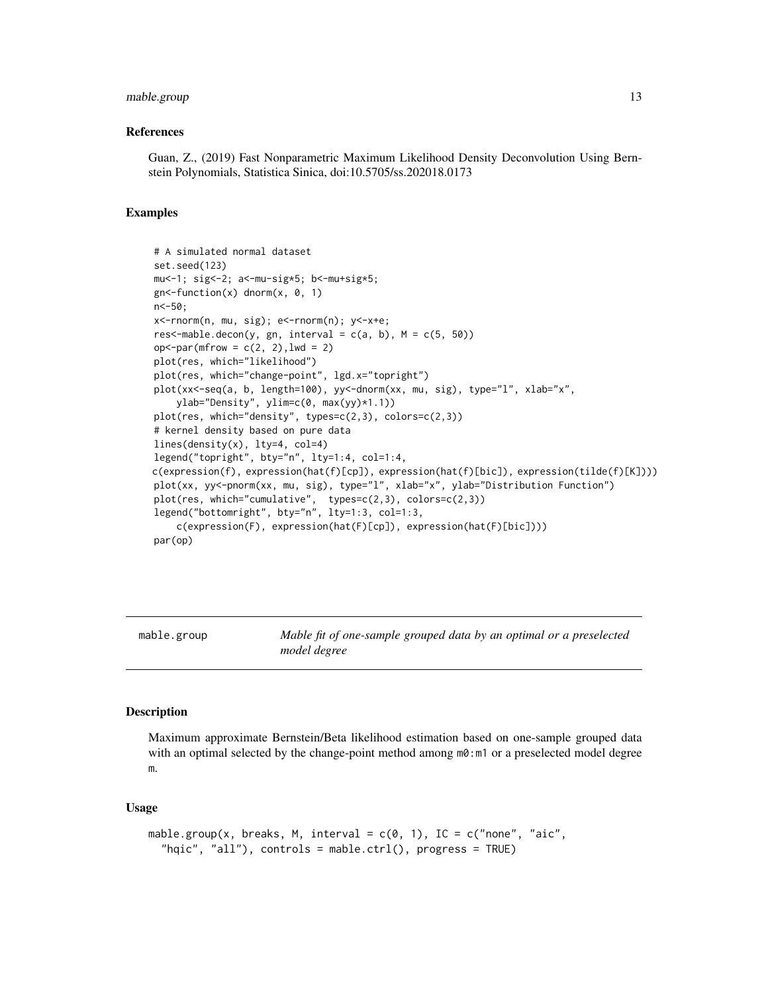#### <span id="page-12-0"></span>mable.group 13

#### References

Guan, Z., (2019) Fast Nonparametric Maximum Likelihood Density Deconvolution Using Bernstein Polynomials, Statistica Sinica, doi:10.5705/ss.202018.0173

#### Examples

```
# A simulated normal dataset
set.seed(123)
mu<-1; sig<-2; a<-mu-sig*5; b<-mu+sig*5;
gn <-function(x) dnorm(x, 0, 1)
n<-50;
x<-rnorm(n, mu, sig); e<-rnorm(n); y<-x+e;
res<-mable.decon(y, gn, interval = c(a, b), M = c(5, 50))
op <sup>-</sup>par(mfrow = c(2, 2), lwd = 2)plot(res, which="likelihood")
plot(res, which="change-point", lgd.x="topright")
plot(xx<-seq(a, b, length=100), yy<-dnorm(xx, mu, sig), type="l", xlab="x",
    ylab="Density", ylim=c(0, max(yy)*1.1))
plot(res, which="density", types=c(2,3), colors=c(2,3))
# kernel density based on pure data
lines(density(x), lty=4, col=4)
legend("topright", bty="n", lty=1:4, col=1:4,
c(expression(f), expression(hat(f)[cp]), expression(hat(f)[bic]), expression(tilde(f)[K])))
plot(xx, yy<-pnorm(xx, mu, sig), type="l", xlab="x", ylab="Distribution Function")
plot(res, which="cumulative", types=c(2,3), colors=c(2,3))
legend("bottomright", bty="n", lty=1:3, col=1:3,
    c(expression(F), expression(hat(F)[cp]), expression(hat(F)[bic])))
par(op)
```
<span id="page-12-1"></span>mable.group *Mable fit of one-sample grouped data by an optimal or a preselected model degree*

#### Description

Maximum approximate Bernstein/Beta likelihood estimation based on one-sample grouped data with an optimal selected by the change-point method among  $m\theta$ :m1 or a preselected model degree m.

#### Usage

```
mable.group(x, breaks, M, interval = c(0, 1), IC = c("none", "aic","hqic", "all"), controls = mable.ctrl(), progress = TRUE)
```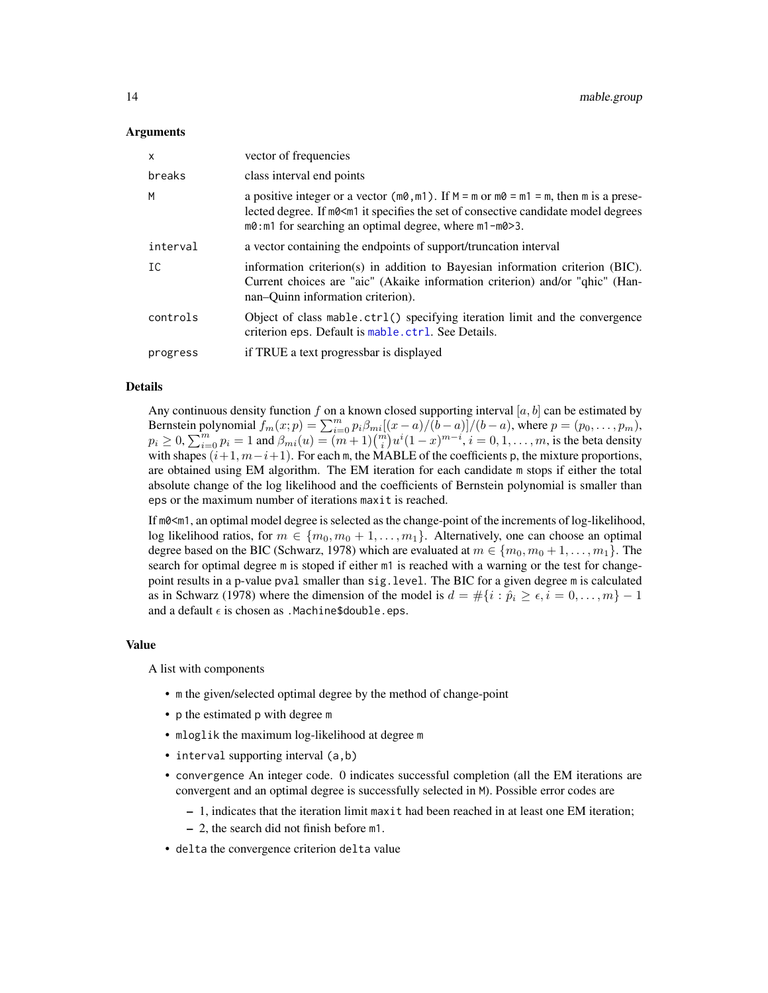#### <span id="page-13-0"></span>Arguments

| $\times$ | vector of frequencies                                                                                                                                                                                                                                                                          |
|----------|------------------------------------------------------------------------------------------------------------------------------------------------------------------------------------------------------------------------------------------------------------------------------------------------|
| breaks   | class interval end points                                                                                                                                                                                                                                                                      |
| M        | a positive integer or a vector ( $m\theta$ , $m1$ ). If $M = m$ or $m\theta = m1 = m$ , then m is a prese-<br>lected degree. If m0 <m1 candidate="" consective="" degrees<br="" it="" model="" of="" set="" specifies="" the="">m0: m1 for searching an optimal degree, where m1-m0&gt;3.</m1> |
| interval | a vector containing the endpoints of support/truncation interval                                                                                                                                                                                                                               |
| IC       | information criterion(s) in addition to Bayesian information criterion (BIC).<br>Current choices are "aic" (Akaike information criterion) and/or "ghic" (Han-<br>nan-Ouinn information criterion).                                                                                             |
| controls | Object of class mable.ctrl() specifying iteration limit and the convergence<br>criterion eps. Default is mable.ctrl. See Details.                                                                                                                                                              |
| progress | if TRUE a text progressbar is displayed                                                                                                                                                                                                                                                        |

#### Details

Any continuous density function f on a known closed supporting interval [a, b] can be estimated by Bernstein polynomial  $f_m(x; p) = \sum_{i=0}^m p_i \beta_{mi} [(x-a)/(b-a)]/(b-a)$ , where  $p = (p_0, \ldots, p_m)$ ,  $p_i \ge 0, \sum_{i=0}^m p_i = 1$  and  $\beta_{mi}(u) = (m+1) {m \choose i} u^i (1-x)^{m-i}, i = 0, 1, ..., m$ , is the beta density with shapes  $(i+1, m-i+1)$ . For each m, the MABLE of the coefficients p, the mixture proportions, are obtained using EM algorithm. The EM iteration for each candidate m stops if either the total absolute change of the log likelihood and the coefficients of Bernstein polynomial is smaller than eps or the maximum number of iterations maxit is reached.

If m0<m1, an optimal model degree is selected as the change-point of the increments of log-likelihood, log likelihood ratios, for  $m \in \{m_0, m_0 + 1, \ldots, m_1\}$ . Alternatively, one can choose an optimal degree based on the BIC (Schwarz, 1978) which are evaluated at  $m \in \{m_0, m_0 + 1, \ldots, m_1\}$ . The search for optimal degree m is stoped if either m1 is reached with a warning or the test for changepoint results in a p-value pval smaller than sig.level. The BIC for a given degree m is calculated as in Schwarz (1978) where the dimension of the model is  $d = \#\{i : \hat{p}_i \geq \epsilon, i = 0, \ldots, m\} - 1$ and a default  $\epsilon$  is chosen as .Machine\$double.eps.

#### Value

A list with components

- m the given/selected optimal degree by the method of change-point
- p the estimated p with degree m
- mloglik the maximum log-likelihood at degree m
- interval supporting interval (a, b)
- convergence An integer code. 0 indicates successful completion (all the EM iterations are convergent and an optimal degree is successfully selected in M). Possible error codes are
	- 1, indicates that the iteration limit maxit had been reached in at least one EM iteration;
	- 2, the search did not finish before m1.
- delta the convergence criterion delta value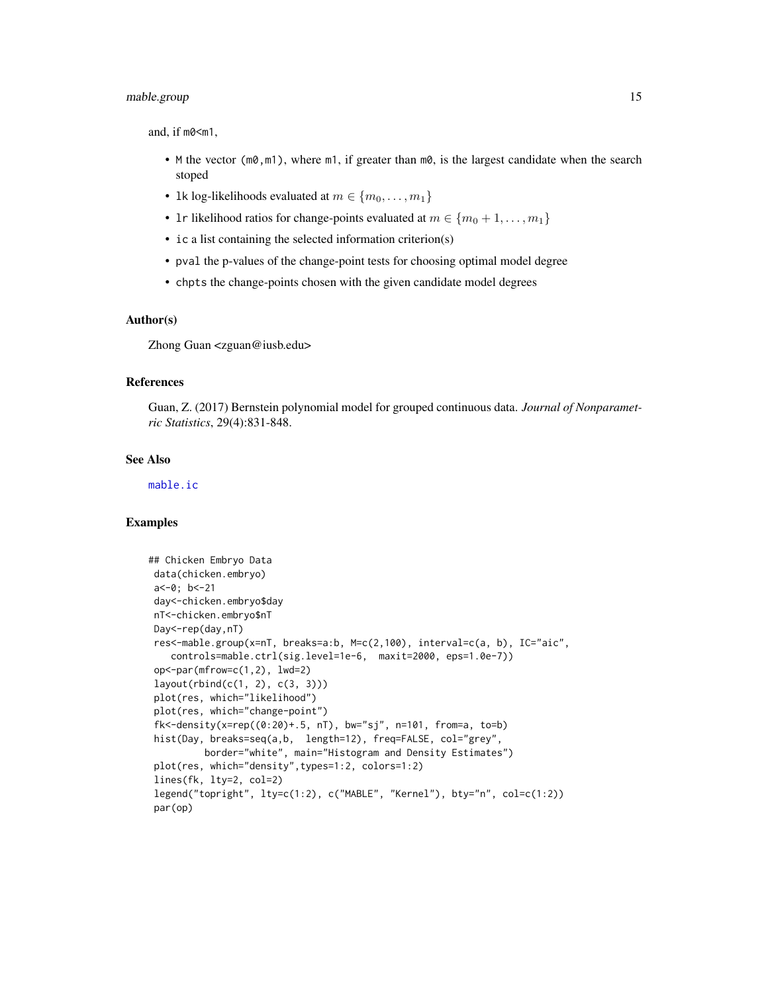# <span id="page-14-0"></span>mable.group 15

and, if m0<m1,

- M the vector ( $m\theta$ ,  $m1$ ), where  $m1$ , if greater than  $m\theta$ , is the largest candidate when the search stoped
- 1k log-likelihoods evaluated at  $m \in \{m_0, \ldots, m_1\}$
- 1r likelihood ratios for change-points evaluated at  $m \in \{m_0+1,\ldots,m_1\}$
- ic a list containing the selected information criterion(s)
- pval the p-values of the change-point tests for choosing optimal model degree
- chpts the change-points chosen with the given candidate model degrees

#### Author(s)

Zhong Guan <zguan@iusb.edu>

# References

Guan, Z. (2017) Bernstein polynomial model for grouped continuous data. *Journal of Nonparametric Statistics*, 29(4):831-848.

#### See Also

[mable.ic](#page-15-1)

```
## Chicken Embryo Data
data(chicken.embryo)
a<-0; b<-21
day<-chicken.embryo$day
nT<-chicken.embryo$nT
Day<-rep(day,nT)
res<-mable.group(x=nT, breaks=a:b, M=c(2,100), interval=c(a, b), IC="aic",
   controls=mable.ctrl(sig.level=1e-6, maxit=2000, eps=1.0e-7))
op<-par(mfrow=c(1,2), lwd=2)
layout(rbind(c(1, 2), c(3, 3)))
plot(res, which="likelihood")
plot(res, which="change-point")
fk<-density(x=rep((0:20)+.5, nT), bw="sj", n=101, from=a, to=b)
hist(Day, breaks=seq(a,b, length=12), freq=FALSE, col="grey",
         border="white", main="Histogram and Density Estimates")
plot(res, which="density",types=1:2, colors=1:2)
lines(fk, lty=2, col=2)
legend("topright", lty=c(1:2), c("MABLE", "Kernel"), bty="n", col=c(1:2))
par(op)
```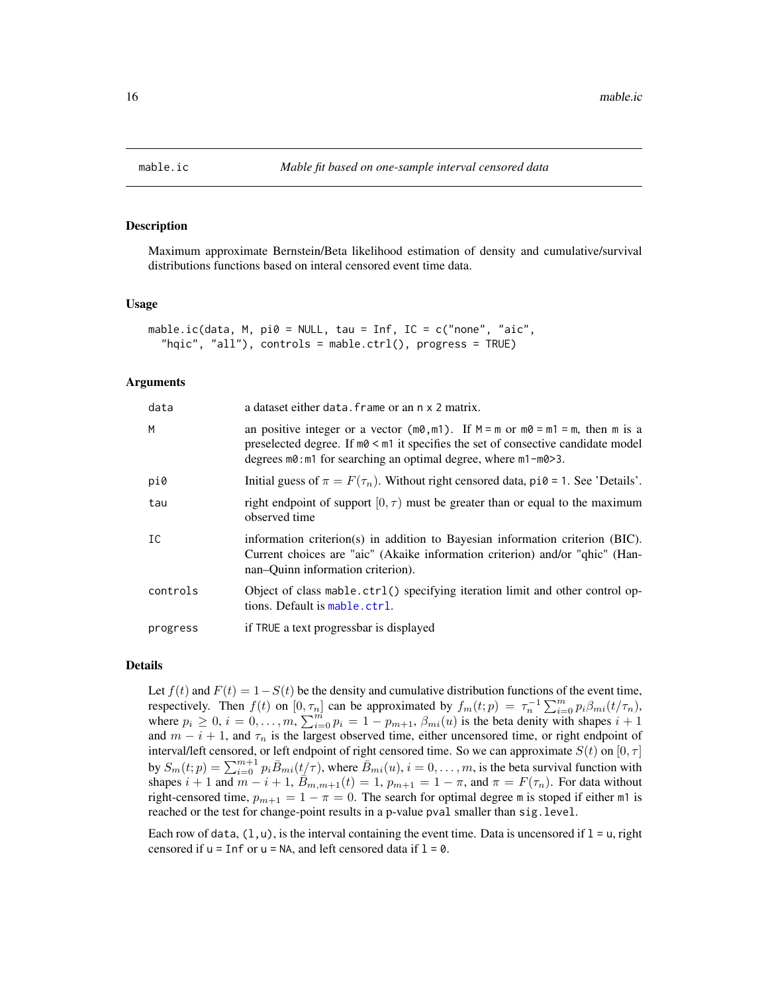<span id="page-15-1"></span><span id="page-15-0"></span>

#### Description

Maximum approximate Bernstein/Beta likelihood estimation of density and cumulative/survival distributions functions based on interal censored event time data.

#### Usage

```
mable.ic(data, M, pi0 = NULL, tau = Inf, IC = c("none", "aic",
  "hqic", "all"), controls = mable.ctrl(), progress = TRUE)
```
#### Arguments

| data     | a dataset either data. frame or an n x 2 matrix.                                                                                                                                                                                                                                            |
|----------|---------------------------------------------------------------------------------------------------------------------------------------------------------------------------------------------------------------------------------------------------------------------------------------------|
| M        | an positive integer or a vector ( $m\theta$ , $m1$ ). If $M = m$ or $m\theta = m1 = m$ , then m is a<br>preselected degree. If $m\theta \leq m\pi$ it specifies the set of consective candidate model<br>degrees $m\theta$ : m1 for searching an optimal degree, where $m1 - m\theta > 3$ . |
| pi0      | Initial guess of $\pi = F(\tau_n)$ . Without right censored data, pi $\theta = 1$ . See 'Details'.                                                                                                                                                                                          |
| tau      | right endpoint of support $[0, \tau)$ must be greater than or equal to the maximum<br>observed time                                                                                                                                                                                         |
| IC       | information criterion(s) in addition to Bayesian information criterion (BIC).<br>Current choices are "aic" (Akaike information criterion) and/or "qhic" (Han-<br>nan-Ouinn information criterion).                                                                                          |
| controls | Object of class mable.ctrl() specifying iteration limit and other control op-<br>tions. Default is mable.ctrl.                                                                                                                                                                              |
| progress | if TRUE a text progressbar is displayed                                                                                                                                                                                                                                                     |

#### Details

Let  $f(t)$  and  $F(t) = 1-S(t)$  be the density and cumulative distribution functions of the event time, respectively. Then  $f(t)$  on  $[0, \tau_n]$  can be approximated by  $f_m(t;p) = \tau_n^{-1} \sum_{i=0}^m p_i \beta_{mi}(t/\tau_n)$ , where  $p_i \geq 0$ ,  $i = 0, \ldots, m$ ,  $\sum_{i=0}^{m} p_i = 1 - p_{m+1}$ ,  $\beta_{mi}(u)$  is the beta denity with shapes  $i+1$ and  $m - i + 1$ , and  $\tau_n$  is the largest observed time, either uncensored time, or right endpoint of interval/left censored, or left endpoint of right censored time. So we can approximate  $S(t)$  on [0,  $\tau$ ] by  $S_m(t;p) = \sum_{i=0}^{m+1} p_i \bar{B}_{mi}(t/\tau)$ , where  $\bar{B}_{mi}(u)$ ,  $i = 0, \ldots, m$ , is the beta survival function with shapes  $i + 1$  and  $m - i + 1$ ,  $\overline{B}_{m,m+1}(t) = 1$ ,  $p_{m+1} = 1 - \pi$ , and  $\pi = F(\tau_n)$ . For data without right-censored time,  $p_{m+1} = 1 - \pi = 0$ . The search for optimal degree m is stoped if either m1 is reached or the test for change-point results in a p-value pval smaller than sig.level.

Each row of data,  $(1, u)$ , is the interval containing the event time. Data is uncensored if  $1 = u$ , right censored if  $u = \text{Inf}$  or  $u = \text{NA}$ , and left censored data if  $l = 0$ .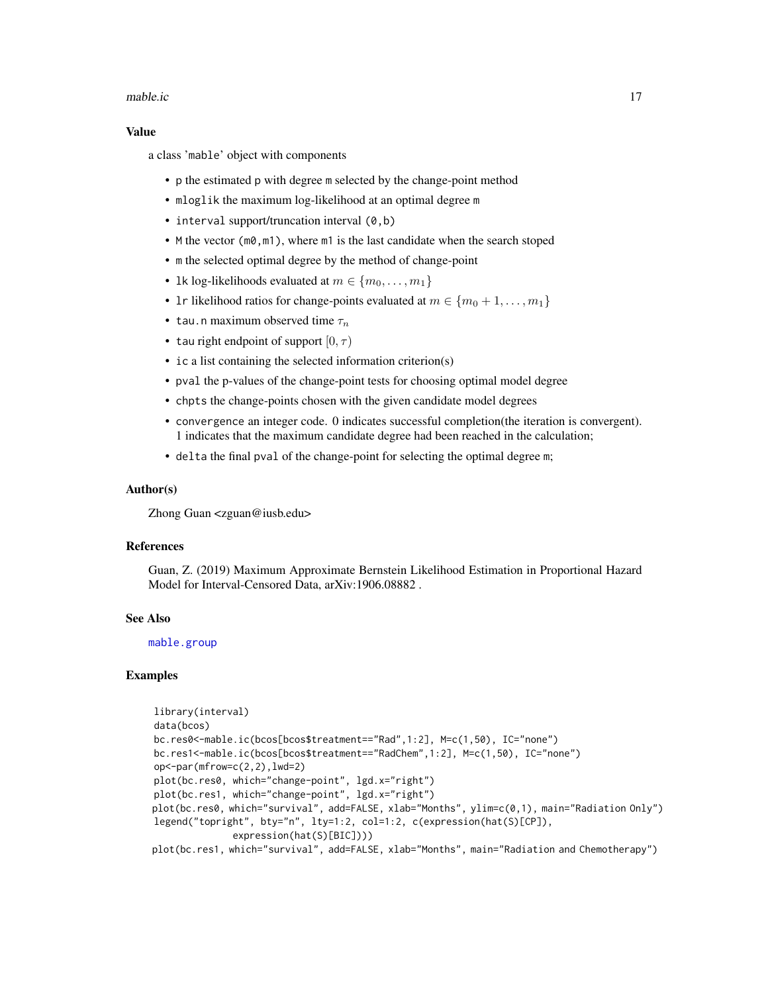#### <span id="page-16-0"></span>mable.ic 17

#### Value

a class 'mable' object with components

- p the estimated p with degree m selected by the change-point method
- mloglik the maximum log-likelihood at an optimal degree m
- interval support/truncation interval (0,b)
- M the vector (m0, m1), where m1 is the last candidate when the search stoped
- m the selected optimal degree by the method of change-point
- 1k log-likelihoods evaluated at  $m \in \{m_0, \ldots, m_1\}$
- 1r likelihood ratios for change-points evaluated at  $m \in \{m_0 + 1, \ldots, m_1\}$
- tau.n maximum observed time  $\tau_n$
- tau right endpoint of support  $[0, \tau)$
- ic a list containing the selected information criterion(s)
- pval the p-values of the change-point tests for choosing optimal model degree
- chpts the change-points chosen with the given candidate model degrees
- convergence an integer code. 0 indicates successful completion(the iteration is convergent). 1 indicates that the maximum candidate degree had been reached in the calculation;
- delta the final pval of the change-point for selecting the optimal degree m;

#### Author(s)

Zhong Guan <zguan@iusb.edu>

#### References

Guan, Z. (2019) Maximum Approximate Bernstein Likelihood Estimation in Proportional Hazard Model for Interval-Censored Data, arXiv:1906.08882 .

### See Also

[mable.group](#page-12-1)

```
library(interval)
data(bcos)
bc.res0<-mable.ic(bcos[bcos$treatment=="Rad",1:2], M=c(1,50), IC="none")
bc.res1<-mable.ic(bcos[bcos$treatment=="RadChem",1:2], M=c(1,50), IC="none")
op <-par(mfrow=c(2,2),lwd=2)
plot(bc.res0, which="change-point", lgd.x="right")
plot(bc.res1, which="change-point", lgd.x="right")
plot(bc.res0, which="survival", add=FALSE, xlab="Months", ylim=c(0,1), main="Radiation Only")
legend("topright", bty="n", lty=1:2, col=1:2, c(expression(hat(S)[CP]),
              expression(hat(S)[BIC])))
plot(bc.res1, which="survival", add=FALSE, xlab="Months", main="Radiation and Chemotherapy")
```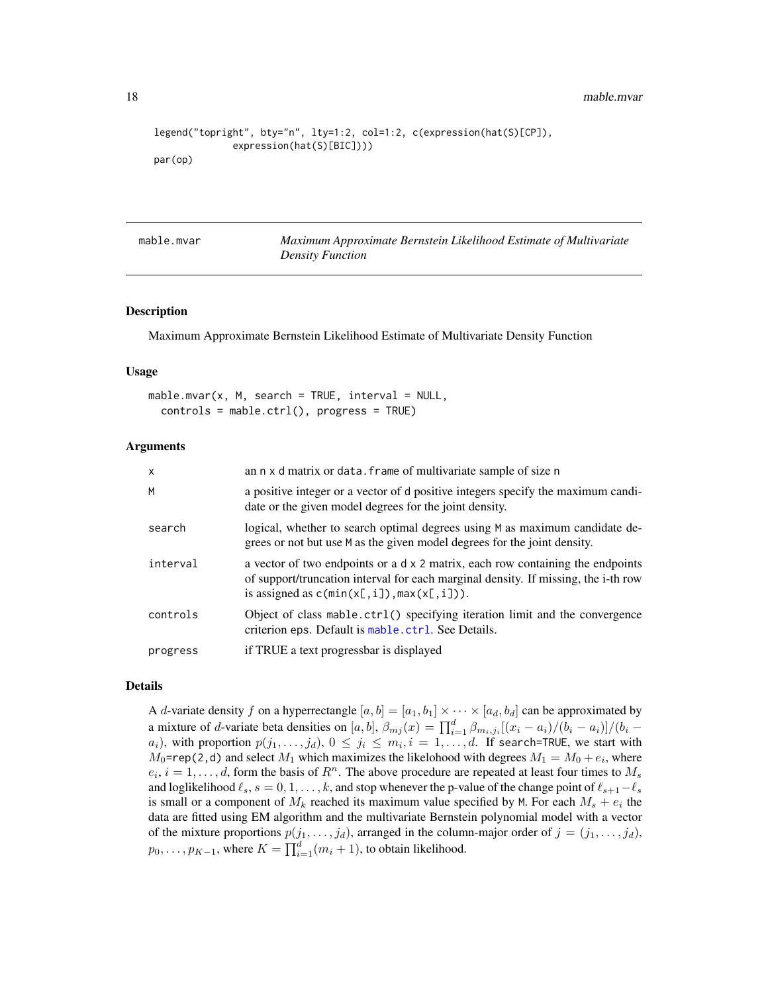<span id="page-17-0"></span>18 mable.mvar

```
legend("topright", bty="n", lty=1:2, col=1:2, c(expression(hat(S)[CP]),
              expression(hat(S)[BIC])))
par(op)
```
mable.mvar *Maximum Approximate Bernstein Likelihood Estimate of Multivariate Density Function*

#### Description

Maximum Approximate Bernstein Likelihood Estimate of Multivariate Density Function

#### Usage

```
mable.mvar(x, M, search = TRUE, interval = NULL,controls = mable.ctrl(), progress = TRUE)
```
#### Arguments

| $\mathsf{x}$ | an n x d matrix or data. frame of multivariate sample of size n                                                                                                                                                         |
|--------------|-------------------------------------------------------------------------------------------------------------------------------------------------------------------------------------------------------------------------|
| M            | a positive integer or a vector of d positive integers specify the maximum candi-<br>date or the given model degrees for the joint density.                                                                              |
| search       | logical, whether to search optimal degrees using M as maximum candidate de-<br>grees or not but use M as the given model degrees for the joint density.                                                                 |
| interval     | a vector of two endpoints or a $dx$ 2 matrix, each row containing the endpoints<br>of support/truncation interval for each marginal density. If missing, the i-th row<br>is assigned as $c(\min(x[, i]), \max(x[, i]).$ |
| controls     | Object of class mable.ctrl() specifying iteration limit and the convergence<br>criterion eps. Default is mable.ctrl. See Details.                                                                                       |
| progress     | if TRUE a text progressbar is displayed                                                                                                                                                                                 |

#### Details

A *d*-variate density f on a hyperrectangle  $[a, b] = [a_1, b_1] \times \cdots \times [a_d, b_d]$  can be approximated by a mixture of *d*-variate beta densities on [a, b],  $\beta_{mj}(x) = \prod_{i=1}^d \beta_{m_i,j_i}[(x_i - a_i)/(b_i - a_i)]/(b_i - a_i)$  $a_i)$ , with proportion  $p(j_1,\ldots,j_d),\, 0\, \leq\, j_i\, \leq\, m_i, i\,=\, 1,\ldots,d.$  If search=TRUE, we start with  $M_0$ =rep(2,d) and select  $M_1$  which maximizes the likelohood with degrees  $M_1 = M_0 + e_i$ , where  $e_i$ ,  $i = 1, \ldots, d$ , form the basis of  $R^n$ . The above procedure are repeated at least four times to  $M_s$ and loglikelihood  $\ell_s$ ,  $s = 0, 1, \ldots, k$ , and stop whenever the p-value of the change point of  $\ell_{s+1}-\ell_s$ is small or a component of  $M_k$  reached its maximum value specified by M. For each  $M_s + e_i$  the data are fitted using EM algorithm and the multivariate Bernstein polynomial model with a vector of the mixture proportions  $p(j_1, \ldots, j_d)$ , arranged in the column-major order of  $j = (j_1, \ldots, j_d)$ ,  $p_0, \ldots, p_{K-1}$ , where  $K = \prod_{i=1}^d (m_i + 1)$ , to obtain likelihood.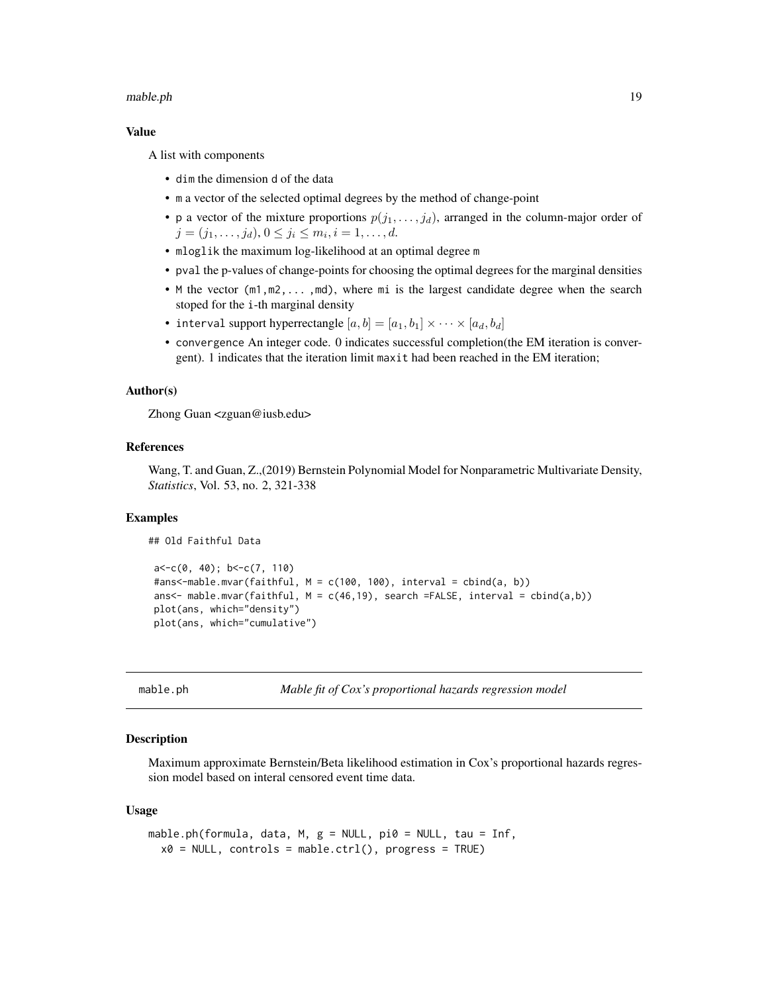#### <span id="page-18-0"></span>mable.ph 19

#### Value

A list with components

- dim the dimension d of the data
- m a vector of the selected optimal degrees by the method of change-point
- p a vector of the mixture proportions  $p(j_1, \ldots, j_d)$ , arranged in the column-major order of  $j = (j_1, \ldots, j_d), 0 \leq j_i \leq m_i, i = 1, \ldots, d.$
- mloglik the maximum log-likelihood at an optimal degree m
- pval the p-values of change-points for choosing the optimal degrees for the marginal densities
- M the vector (m1,m2,... ,md), where mi is the largest candidate degree when the search stoped for the i-th marginal density
- interval support hyperrectangle  $[a, b] = [a_1, b_1] \times \cdots \times [a_d, b_d]$
- convergence An integer code. 0 indicates successful completion(the EM iteration is convergent). 1 indicates that the iteration limit maxit had been reached in the EM iteration;

#### Author(s)

Zhong Guan <zguan@iusb.edu>

#### References

Wang, T. and Guan, Z.,(2019) Bernstein Polynomial Model for Nonparametric Multivariate Density, *Statistics*, Vol. 53, no. 2, 321-338

#### Examples

## Old Faithful Data

```
a < -c(0, 40); b < -c(7, 110)#ans<-mable.mvar(faithful, M = c(100, 100), interval = cbind(a, b))
ans<- mable.mvar(faithful, M = c(46, 19), search =FALSE, interval = cbind(a,b))
plot(ans, which="density")
plot(ans, which="cumulative")
```
<span id="page-18-1"></span>mable.ph *Mable fit of Cox's proportional hazards regression model* 

#### Description

Maximum approximate Bernstein/Beta likelihood estimation in Cox's proportional hazards regression model based on interal censored event time data.

#### Usage

```
mable.ph(formula, data, M, g = NULL, pi0 = NULL, tau = Inf,
  x0 = NULL, controls = mable.ctrl(), progress = TRUE)
```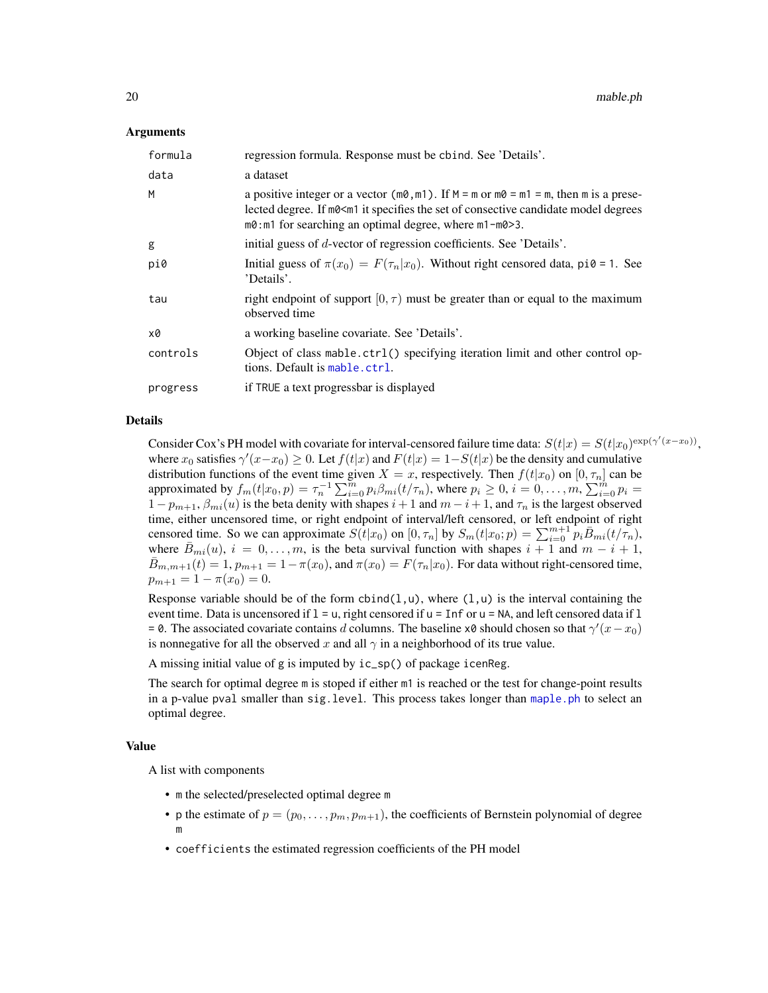#### <span id="page-19-0"></span>Arguments

| formula  | regression formula. Response must be chind. See 'Details'.                                                                                                                                                                                                    |
|----------|---------------------------------------------------------------------------------------------------------------------------------------------------------------------------------------------------------------------------------------------------------------|
| data     | a dataset                                                                                                                                                                                                                                                     |
| M        | a positive integer or a vector ( $m\theta$ , $m1$ ). If $M = m$ or $m\theta = m1 = m$ , then m is a prese-<br>lected degree. If m0 < m 1 it specifies the set of consective candidate model degrees<br>m0: m1 for searching an optimal degree, where m1-m0>3. |
| g        | initial guess of d-vector of regression coefficients. See 'Details'.                                                                                                                                                                                          |
| pi0      | Initial guess of $\pi(x_0) = F(\tau_n x_0)$ . Without right censored data, pi0 = 1. See<br>'Details'.                                                                                                                                                         |
| tau      | right endpoint of support $[0, \tau)$ must be greater than or equal to the maximum<br>observed time                                                                                                                                                           |
| x0       | a working baseline covariate. See 'Details'.                                                                                                                                                                                                                  |
| controls | Object of class mable.ctrl() specifying iteration limit and other control op-<br>tions. Default is mable.ctrl.                                                                                                                                                |
| progress | if TRUE a text progressbar is displayed                                                                                                                                                                                                                       |

# Details

Consider Cox's PH model with covariate for interval-censored failure time data:  $S(t|x) = S(t|x_0)^{\exp(\gamma'(x-x_0))}$ , where  $x_0$  satisfies  $\gamma'(x-x_0) \ge 0$ . Let  $f(t|x)$  and  $F(t|x) = 1-S(t|x)$  be the density and cumulative distribution functions of the event time given  $X = x$ , respectively. Then  $f(t|x_0)$  on  $[0, \tau_n]$  can be approximated by  $f_m(t|x_0, p) = \tau_n^{-1} \sum_{i=0}^m p_i \beta_{mi}(t/\tau_n)$ , where  $p_i \ge 0$ ,  $i = 0, \ldots, m$ ,  $\sum_{i=0}^m p_i =$  $1 - p_{m+1}, \beta_{mi}(u)$  is the beta denity with shapes  $i + 1$  and  $m - i + 1$ , and  $\tau_n$  is the largest observed time, either uncensored time, or right endpoint of interval/left censored, or left endpoint of right censored time. So we can approximate  $S(t|x_0)$  on  $[0, \tau_n]$  by  $S_m(t|x_0; p) = \sum_{i=0}^{m+1} p_i \overline{B}_{mi}(t/\tau_n)$ , where  $\bar{B}_{mi}(u)$ ,  $i = 0, \ldots, m$ , is the beta survival function with shapes  $i + 1$  and  $m - i + 1$ ,  $\bar{B}_{m,m+1}(t) = 1$ ,  $p_{m+1} = 1 - \pi(x_0)$ , and  $\pi(x_0) = F(\tau_n|x_0)$ . For data without right-censored time,  $p_{m+1} = 1 - \pi(x_0) = 0.$ 

Response variable should be of the form  $cbind(1, u)$ , where  $(1, u)$  is the interval containing the event time. Data is uncensored if  $1 = u$ , right censored if  $u = \text{Inf}$  or  $u = \text{NA}$ , and left censored data if  $1$ = 0. The associated covariate contains d columns. The baseline x0 should chosen so that  $\gamma'(x-x_0)$ is nonnegative for all the observed x and all  $\gamma$  in a neighborhood of its true value.

A missing initial value of g is imputed by ic\_sp() of package icenReg.

The search for optimal degree m is stoped if either m1 is reached or the test for change-point results in a p-value pval smaller than sig.level. This process takes longer than [maple.ph](#page-24-1) to select an optimal degree.

#### Value

A list with components

- m the selected/preselected optimal degree m
- p the estimate of  $p = (p_0, \ldots, p_m, p_{m+1})$ , the coefficients of Bernstein polynomial of degree m
- coefficients the estimated regression coefficients of the PH model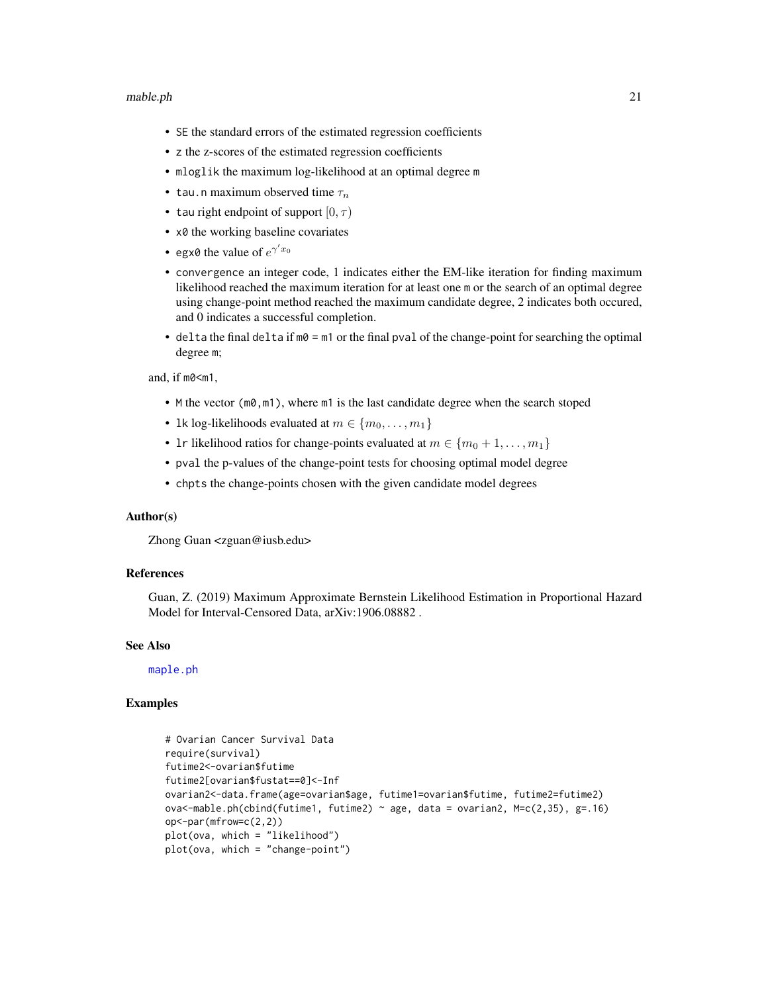#### <span id="page-20-0"></span>mable.ph 21

- SE the standard errors of the estimated regression coefficients
- z the z-scores of the estimated regression coefficients
- mloglik the maximum log-likelihood at an optimal degree m
- tau.n maximum observed time  $\tau_n$
- tau right endpoint of support  $[0, \tau)$
- x0 the working baseline covariates
- egx0 the value of  $e^{\gamma' x_0}$
- convergence an integer code, 1 indicates either the EM-like iteration for finding maximum likelihood reached the maximum iteration for at least one m or the search of an optimal degree using change-point method reached the maximum candidate degree, 2 indicates both occured, and 0 indicates a successful completion.
- delta the final delta if  $m\theta = m1$  or the final pval of the change-point for searching the optimal degree m;

and, if m0<m1,

- M the vector  $(m0, m1)$ , where  $m1$  is the last candidate degree when the search stoped
- 1k log-likelihoods evaluated at  $m \in \{m_0, \ldots, m_1\}$
- 1r likelihood ratios for change-points evaluated at  $m \in \{m_0 + 1, \ldots, m_1\}$
- pval the p-values of the change-point tests for choosing optimal model degree
- chpts the change-points chosen with the given candidate model degrees

# Author(s)

Zhong Guan <zguan@iusb.edu>

#### References

Guan, Z. (2019) Maximum Approximate Bernstein Likelihood Estimation in Proportional Hazard Model for Interval-Censored Data, arXiv:1906.08882 .

#### See Also

[maple.ph](#page-24-1)

```
# Ovarian Cancer Survival Data
require(survival)
futime2<-ovarian$futime
futime2[ovarian$fustat==0]<-Inf
ovarian2<-data.frame(age=ovarian$age, futime1=ovarian$futime, futime2=futime2)
ova<-mable.ph(cbind(futime1, futime2) \sim age, data = ovarian2, M=c(2,35), g=.16)
op<-par(mfrow=c(2,2))
plot(ova, which = "likelihood")
plot(ova, which = "change-point")
```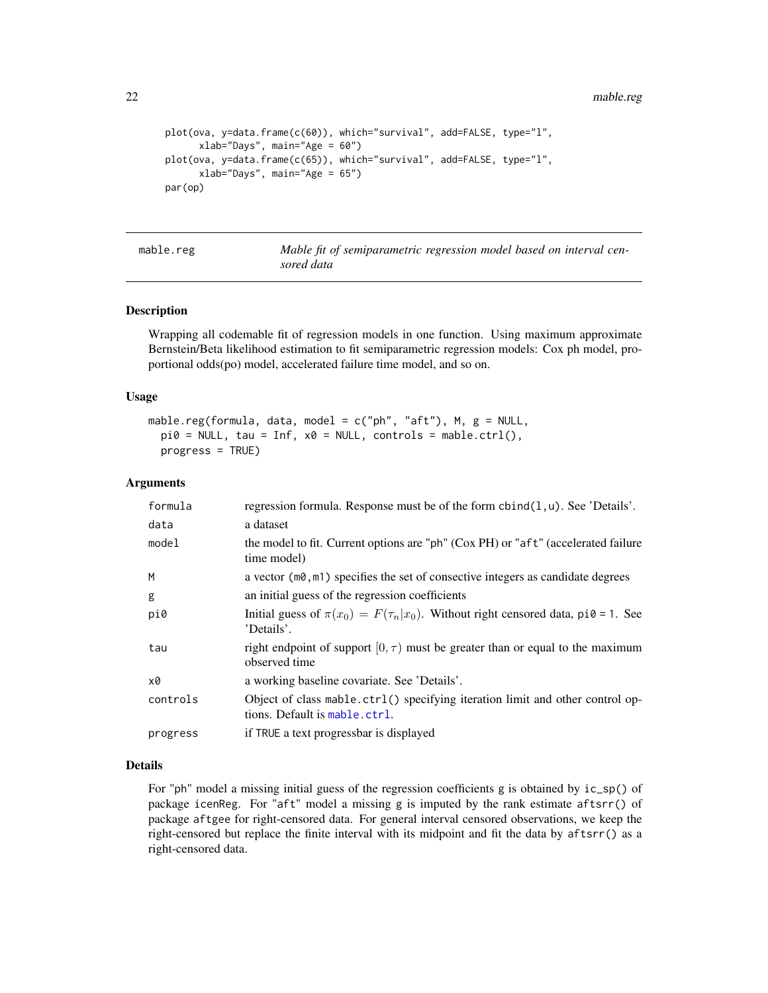22 mable.reg

```
plot(ova, y=data.frame(c(60)), which="survival", add=FALSE, type="l",
      xlab="Days", main="Age = 60")
plot(ova, y=data.frame(c(65)), which="survival", add=FALSE, type="l",
     xlab="Days", main="Age = 65")
par(op)
```

| mable.reg |  |  |  |
|-----------|--|--|--|
|-----------|--|--|--|

Mable fit of semiparametric regression model based on interval cen*sored data*

#### Description

Wrapping all codemable fit of regression models in one function. Using maximum approximate Bernstein/Beta likelihood estimation to fit semiparametric regression models: Cox ph model, proportional odds(po) model, accelerated failure time model, and so on.

# Usage

```
mable.reg(formula, data, model = c("ph", "aft"), M, g = NULL,
 pi0 = NULL, tau = Inf, x0 = NULL, controls = mable.ctrl(),
 progress = TRUE)
```
# Arguments

| formula  | regression formula. Response must be of the form $\text{cbind}(1, u)$ . See 'Details'.                         |
|----------|----------------------------------------------------------------------------------------------------------------|
| data     | a dataset                                                                                                      |
| model    | the model to fit. Current options are "ph" (Cox PH) or "aft" (accelerated failure<br>time model)               |
| M        | a vector $(m\theta, m\mathbb{1})$ specifies the set of consective integers as candidate degrees                |
| g        | an initial guess of the regression coefficients                                                                |
| pi0      | Initial guess of $\pi(x_0) = F(\tau_n x_0)$ . Without right censored data, pi0 = 1. See<br>'Details'.          |
| tau      | right endpoint of support $[0, \tau)$ must be greater than or equal to the maximum<br>observed time            |
| x0       | a working baseline covariate. See 'Details'.                                                                   |
| controls | Object of class mable.ctrl() specifying iteration limit and other control op-<br>tions. Default is mable.ctrl. |
| progress | if TRUE a text progressbar is displayed                                                                        |

# Details

For "ph" model a missing initial guess of the regression coefficients g is obtained by  $ic_sp()$  of package icenReg. For "aft" model a missing g is imputed by the rank estimate aftsrr() of package aftgee for right-censored data. For general interval censored observations, we keep the right-censored but replace the finite interval with its midpoint and fit the data by aftsrr() as a right-censored data.

<span id="page-21-0"></span>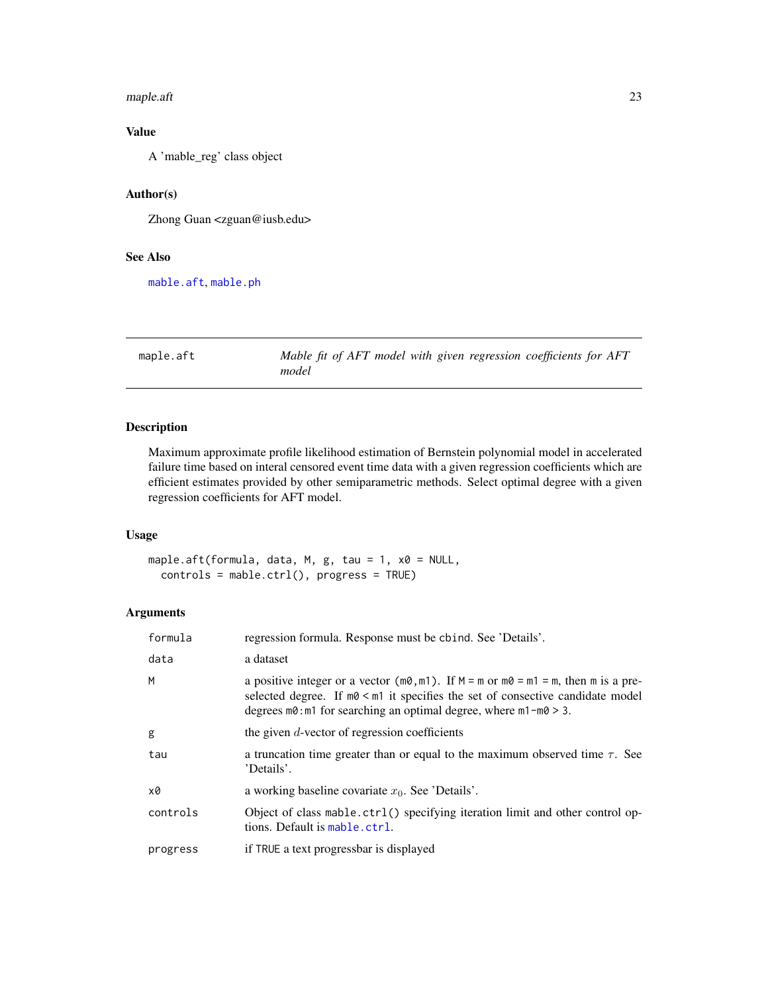#### <span id="page-22-0"></span>maple.aft 23

# Value

A 'mable\_reg' class object

# Author(s)

Zhong Guan <zguan@iusb.edu>

# See Also

[mable.aft](#page-7-1), [mable.ph](#page-18-1)

<span id="page-22-1"></span>maple.aft *Mable fit of AFT model with given regression coefficients for AFT model*

# Description

Maximum approximate profile likelihood estimation of Bernstein polynomial model in accelerated failure time based on interal censored event time data with a given regression coefficients which are efficient estimates provided by other semiparametric methods. Select optimal degree with a given regression coefficients for AFT model.

# Usage

maple.aft(formula, data, M, g, tau =  $1$ , x0 = NULL, controls = mable.ctrl(), progress = TRUE)

# Arguments

| formula  | regression formula. Response must be chind. See 'Details'.                                                                                                                                                                                                                         |
|----------|------------------------------------------------------------------------------------------------------------------------------------------------------------------------------------------------------------------------------------------------------------------------------------|
| data     | a dataset                                                                                                                                                                                                                                                                          |
| M        | a positive integer or a vector ( $m\theta$ , $m1$ ). If $M = m$ or $m\theta = m1 = m$ , then m is a pre-<br>selected degree. If $m0 < m1$ it specifies the set of consective candidate model<br>degrees $m\theta$ : m1 for searching an optimal degree, where $m1 - m\theta > 3$ . |
| g        | the given $d$ -vector of regression coefficients                                                                                                                                                                                                                                   |
| tau      | a truncation time greater than or equal to the maximum observed time $\tau$ . See<br>'Details'.                                                                                                                                                                                    |
| x0       | a working baseline covariate $x_0$ . See 'Details'.                                                                                                                                                                                                                                |
| controls | Object of class mable.ctrl() specifying iteration limit and other control op-<br>tions. Default is mable.ctrl.                                                                                                                                                                     |
| progress | if TRUE a text progressbar is displayed                                                                                                                                                                                                                                            |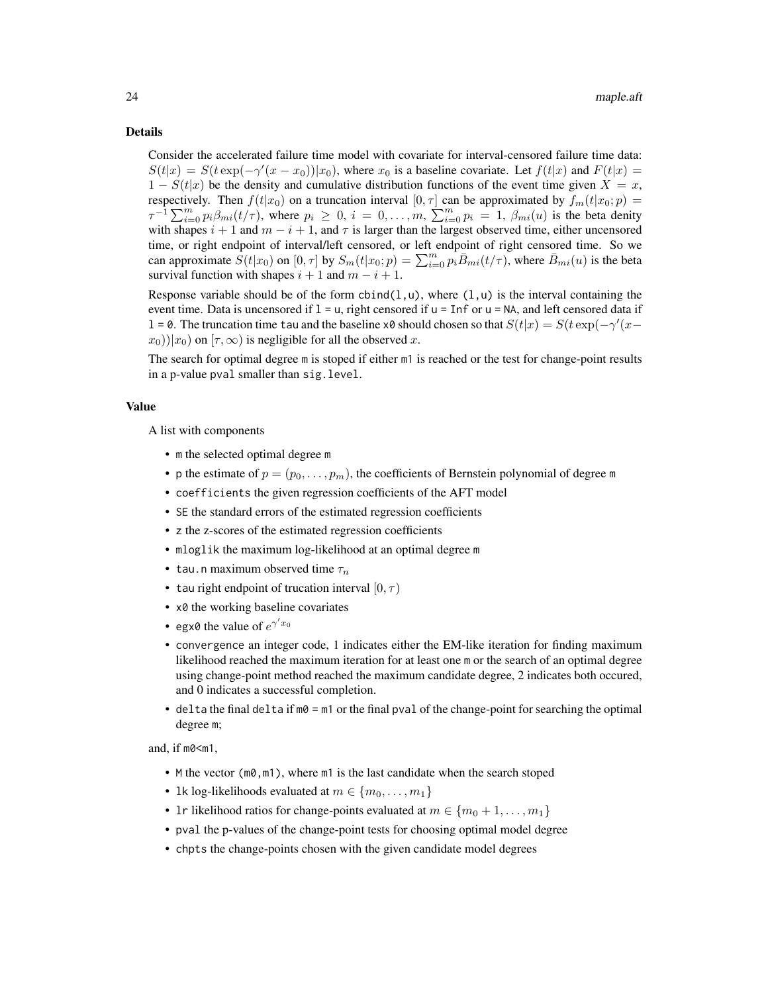#### Details

Consider the accelerated failure time model with covariate for interval-censored failure time data:  $S(t|x) = S(t \exp(-\gamma'(x-x_0))|x_0)$ , where  $x_0$  is a baseline covariate. Let  $f(t|x)$  and  $F(t|x)$  $1 - S(t|x)$  be the density and cumulative distribution functions of the event time given  $X = x$ , respectively. Then  $f(t|x_0)$  on a truncation interval  $[0, \tau]$  can be approximated by  $f_m(t|x_0; p)$  =  $\tau^{-1} \sum_{i=0}^{m} p_i \beta_{mi}(t/\tau)$ , where  $p_i \geq 0$ ,  $i = 0, \ldots, m$ ,  $\sum_{i=0}^{m} p_i = 1$ ,  $\beta_{mi}(u)$  is the beta denity with shapes  $i + 1$  and  $m - i + 1$ , and  $\tau$  is larger than the largest observed time, either uncensored time, or right endpoint of interval/left censored, or left endpoint of right censored time. So we can approximate  $S(t|x_0)$  on  $[0, \tau]$  by  $S_m(t|x_0; p) = \sum_{i=0}^m p_i \overline{B}_{mi}(t/\tau)$ , where  $\overline{B}_{mi}(u)$  is the beta survival function with shapes  $i + 1$  and  $m - i + 1$ .

Response variable should be of the form  $cbind(1, u)$ , where  $(1, u)$  is the interval containing the event time. Data is uncensored if  $1 = u$ , right censored if  $u = \text{Inf}$  or  $u = \text{NA}$ , and left censored data if l = 0. The truncation time tau and the baseline x0 should chosen so that  $S(t|x) = S(t \exp(-\gamma'(x-\gamma'))$  $(x_0)$ ) $(x_0)$  on  $[\tau, \infty)$  is negligible for all the observed x.

The search for optimal degree m is stoped if either m1 is reached or the test for change-point results in a p-value pval smaller than sig.level.

#### Value

A list with components

- m the selected optimal degree m
- p the estimate of  $p = (p_0, \ldots, p_m)$ , the coefficients of Bernstein polynomial of degree m
- coefficients the given regression coefficients of the AFT model
- SE the standard errors of the estimated regression coefficients
- z the z-scores of the estimated regression coefficients
- mloglik the maximum log-likelihood at an optimal degree m
- tau.n maximum observed time  $\tau_n$
- tau right endpoint of trucation interval  $[0, \tau)$
- x0 the working baseline covariates
- egx0 the value of  $e^{\gamma' x_0}$
- convergence an integer code, 1 indicates either the EM-like iteration for finding maximum likelihood reached the maximum iteration for at least one m or the search of an optimal degree using change-point method reached the maximum candidate degree, 2 indicates both occured, and 0 indicates a successful completion.
- delta the final delta if  $m\theta = m1$  or the final pval of the change-point for searching the optimal degree m;

and, if m0<m1.

- M the vector (m0, m1), where m1 is the last candidate when the search stoped
- 1k log-likelihoods evaluated at  $m \in \{m_0, \ldots, m_1\}$
- 1r likelihood ratios for change-points evaluated at  $m \in \{m_0+1,\ldots,m_1\}$
- pval the p-values of the change-point tests for choosing optimal model degree
- chpts the change-points chosen with the given candidate model degrees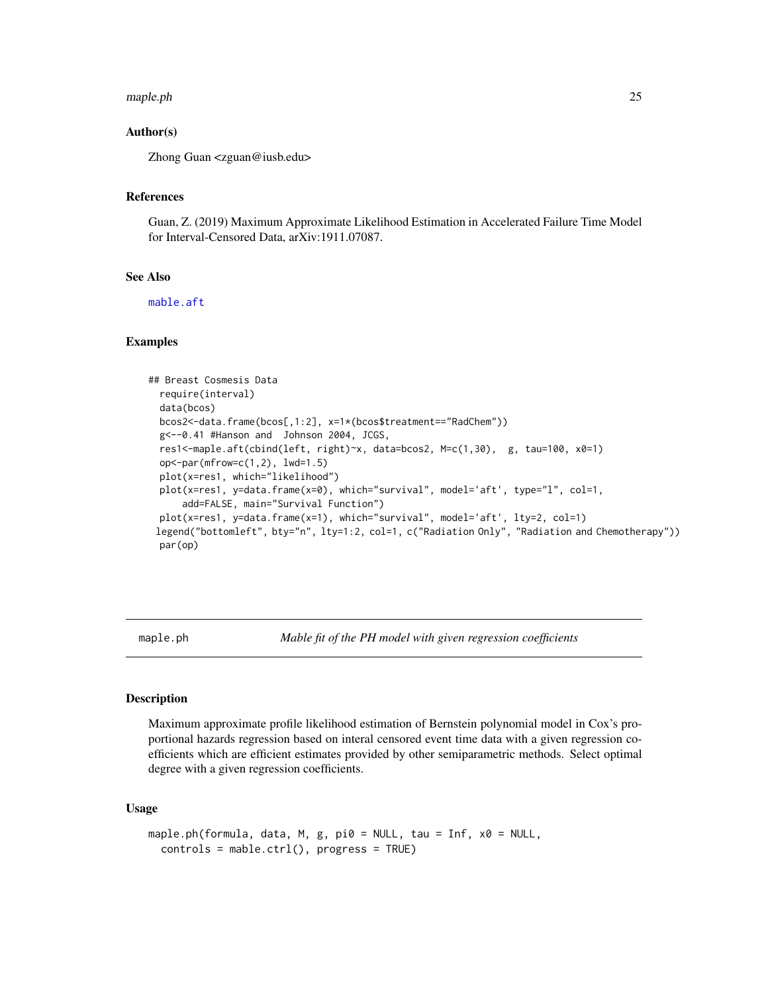#### <span id="page-24-0"></span>maple.ph 25

# Author(s)

Zhong Guan <zguan@iusb.edu>

#### References

Guan, Z. (2019) Maximum Approximate Likelihood Estimation in Accelerated Failure Time Model for Interval-Censored Data, arXiv:1911.07087.

# See Also

[mable.aft](#page-7-1)

#### Examples

```
## Breast Cosmesis Data
 require(interval)
 data(bcos)
 bcos2<-data.frame(bcos[,1:2], x=1*(bcos$treatment=="RadChem"))
 g<--0.41 #Hanson and Johnson 2004, JCGS,
 res1<-maple.aft(cbind(left, right)~x, data=bcos2, M=c(1,30), g, tau=100, x0=1)
 op<-par(mfrow=c(1,2), lwd=1.5)
 plot(x=res1, which="likelihood")
 plot(x=res1, y=data.frame(x=0), which="survival", model='aft', type="l", col=1,
     add=FALSE, main="Survival Function")
 plot(x=res1, y=data.frame(x=1), which="survival", model='aft', lty=2, col=1)
 legend("bottomleft", bty="n", lty=1:2, col=1, c("Radiation Only", "Radiation and Chemotherapy"))
 par(op)
```
<span id="page-24-1"></span>maple.ph *Mable fit of the PH model with given regression coefficients*

#### **Description**

Maximum approximate profile likelihood estimation of Bernstein polynomial model in Cox's proportional hazards regression based on interal censored event time data with a given regression coefficients which are efficient estimates provided by other semiparametric methods. Select optimal degree with a given regression coefficients.

#### Usage

```
maple.ph(formula, data, M, g, pi0 = NULL, tau = Inf, x0 = NULL,
  controls = mable.ctrl(), progress = TRUE)
```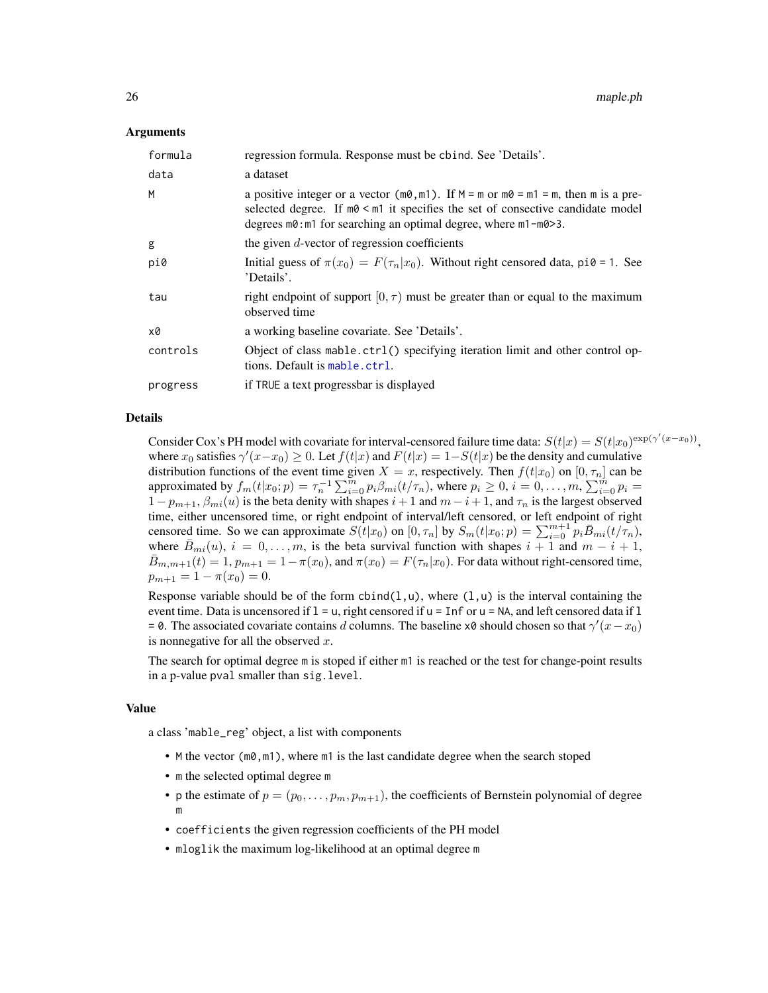#### <span id="page-25-0"></span>Arguments

| formula  | regression formula. Response must be chind. See 'Details'.                                                                                                                                                                                                                       |
|----------|----------------------------------------------------------------------------------------------------------------------------------------------------------------------------------------------------------------------------------------------------------------------------------|
| data     | a dataset                                                                                                                                                                                                                                                                        |
| M        | a positive integer or a vector ( $m\theta$ , $m1$ ). If $M = m$ or $m\theta = m1 = m$ , then m is a pre-<br>selected degree. If $m\theta \leq m1$ it specifies the set of consective candidate model<br>degrees $m0$ : m1 for searching an optimal degree, where $m1 - m0 > 3$ . |
| g        | the given $d$ -vector of regression coefficients                                                                                                                                                                                                                                 |
| pi0      | Initial guess of $\pi(x_0) = F(\tau_n x_0)$ . Without right censored data, pi0 = 1. See<br>'Details'.                                                                                                                                                                            |
| tau      | right endpoint of support $[0, \tau)$ must be greater than or equal to the maximum<br>observed time                                                                                                                                                                              |
| x0       | a working baseline covariate. See 'Details'.                                                                                                                                                                                                                                     |
| controls | Object of class mable.ctrl() specifying iteration limit and other control op-<br>tions. Default is mable.ctrl.                                                                                                                                                                   |
| progress | if TRUE a text progressbar is displayed                                                                                                                                                                                                                                          |

# Details

Consider Cox's PH model with covariate for interval-censored failure time data:  $S(t|x) = S(t|x_0)^{\exp(\gamma'(x-x_0))}$ , where  $x_0$  satisfies  $\gamma'(x-x_0) \ge 0$ . Let  $f(t|x)$  and  $F(t|x) = 1-S(t|x)$  be the density and cumulative distribution functions of the event time given  $X = x$ , respectively. Then  $f(t|x_0)$  on  $[0, \tau_n]$  can be approximated by  $f_m(t|x_0; p) = \tau_n^{-1} \sum_{i=0}^m p_i \beta_{mi}(t/\tau_n)$ , where  $p_i \ge 0$ ,  $i = 0, \ldots, m$ ,  $\sum_{i=0}^m p_i =$  $1 - p_{m+1}, \beta_{mi}(u)$  is the beta denity with shapes  $i + 1$  and  $m - i + 1$ , and  $\tau_n$  is the largest observed time, either uncensored time, or right endpoint of interval/left censored, or left endpoint of right censored time. So we can approximate  $S(t|x_0)$  on  $[0, \tau_n]$  by  $S_m(t|x_0; p) = \sum_{i=0}^{m+1} p_i \overline{B}_{mi}(t/\tau_n)$ , where  $\bar{B}_{mi}(u)$ ,  $i = 0, \ldots, m$ , is the beta survival function with shapes  $i + 1$  and  $m - i + 1$ ,  $\bar{B}_{m,m+1}(t) = 1, p_{m+1} = 1 - \pi(x_0)$ , and  $\pi(x_0) = F(\tau_n|x_0)$ . For data without right-censored time,  $p_{m+1} = 1 - \pi(x_0) = 0.$ 

Response variable should be of the form  $cbind(1, u)$ , where  $(1, u)$  is the interval containing the event time. Data is uncensored if  $l = u$ , right censored if  $u = \text{Inf}$  or  $u = \text{NA}$ , and left censored data if  $l$ = 0. The associated covariate contains d columns. The baseline x0 should chosen so that  $\gamma'(x-x_0)$ is nonnegative for all the observed  $x$ .

The search for optimal degree m is stoped if either m1 is reached or the test for change-point results in a p-value pval smaller than sig.level.

#### Value

a class 'mable\_reg' object, a list with components

- M the vector (m0, m1), where m1 is the last candidate degree when the search stoped
- m the selected optimal degree m
- p the estimate of  $p = (p_0, \ldots, p_m, p_{m+1})$ , the coefficients of Bernstein polynomial of degree m
- coefficients the given regression coefficients of the PH model
- mloglik the maximum log-likelihood at an optimal degree m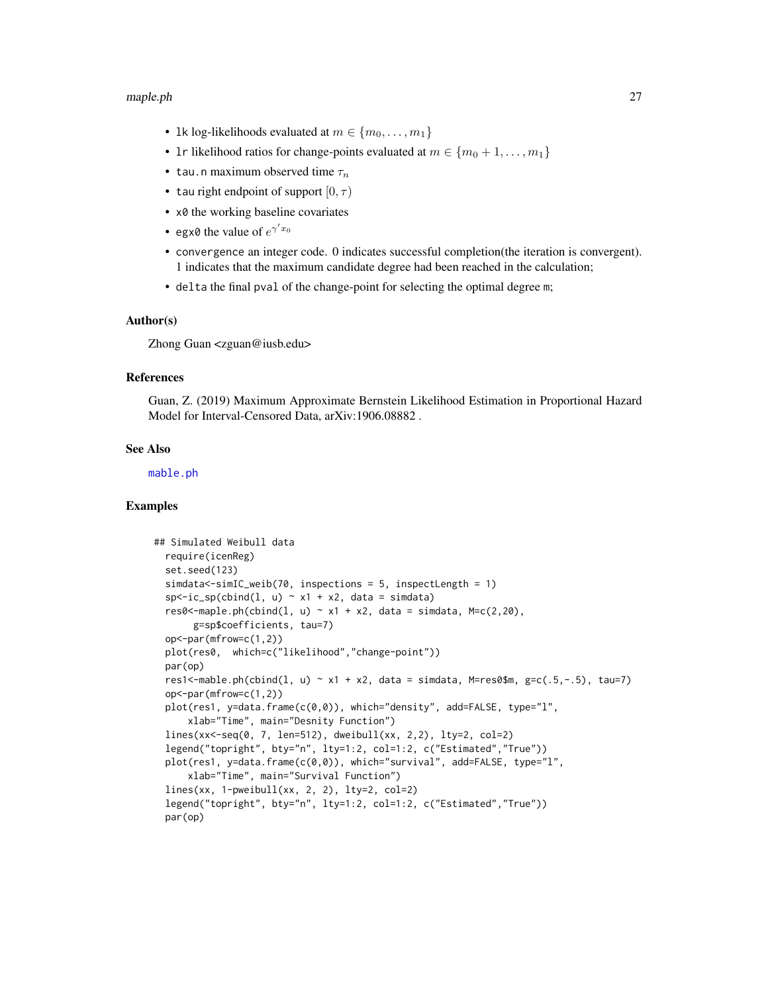#### <span id="page-26-0"></span>maple.ph 27

- 1k log-likelihoods evaluated at  $m \in \{m_0, \ldots, m_1\}$
- 1r likelihood ratios for change-points evaluated at  $m \in \{m_0 + 1, \ldots, m_1\}$
- tau.n maximum observed time  $\tau_n$
- tau right endpoint of support  $[0, \tau)$
- x0 the working baseline covariates
- egx0 the value of  $e^{\gamma' x_0}$
- convergence an integer code. 0 indicates successful completion(the iteration is convergent). 1 indicates that the maximum candidate degree had been reached in the calculation;
- delta the final pval of the change-point for selecting the optimal degree m;

#### Author(s)

Zhong Guan <zguan@iusb.edu>

#### References

Guan, Z. (2019) Maximum Approximate Bernstein Likelihood Estimation in Proportional Hazard Model for Interval-Censored Data, arXiv:1906.08882 .

#### See Also

[mable.ph](#page-18-1)

```
## Simulated Weibull data
 require(icenReg)
  set.seed(123)
  simdata<-simIC_weib(70, inspections = 5, inspectLength = 1)
  sp < -ic_sp(cbind(1, u) \sim x1 + x2, data = simdata)
 res0 <- maple.ph(cbind(l, u) \sim x1 + x2, data = simdata, M=c(2,20),
       g=sp$coefficients, tau=7)
 op<-par(mfrow=c(1,2))
 plot(res0, which=c("likelihood","change-point"))
 par(op)
 res1<-mable.ph(cbind(l, u) \sim x1 + x2, data = simdata, M=res0$m, g=c(.5,-.5), tau=7)
 op<-par(mfrow=c(1,2))
 plot(res1, y=data.frame(c(0,0)), which="density", add=FALSE, type="l",
      xlab="Time", main="Desnity Function")
 lines(xx<-seq(0, 7, len=512), dweibull(xx, 2,2), lty=2, col=2)
 legend("topright", bty="n", lty=1:2, col=1:2, c("Estimated","True"))
 plot(res1, y=data.frame(c(0,0)), which="survival", add=FALSE, type="l",
      xlab="Time", main="Survival Function")
 lines(xx, 1-pweibull(xx, 2, 2), lty=2, col=2)
 legend("topright", bty="n", lty=1:2, col=1:2, c("Estimated","True"))
 par(op)
```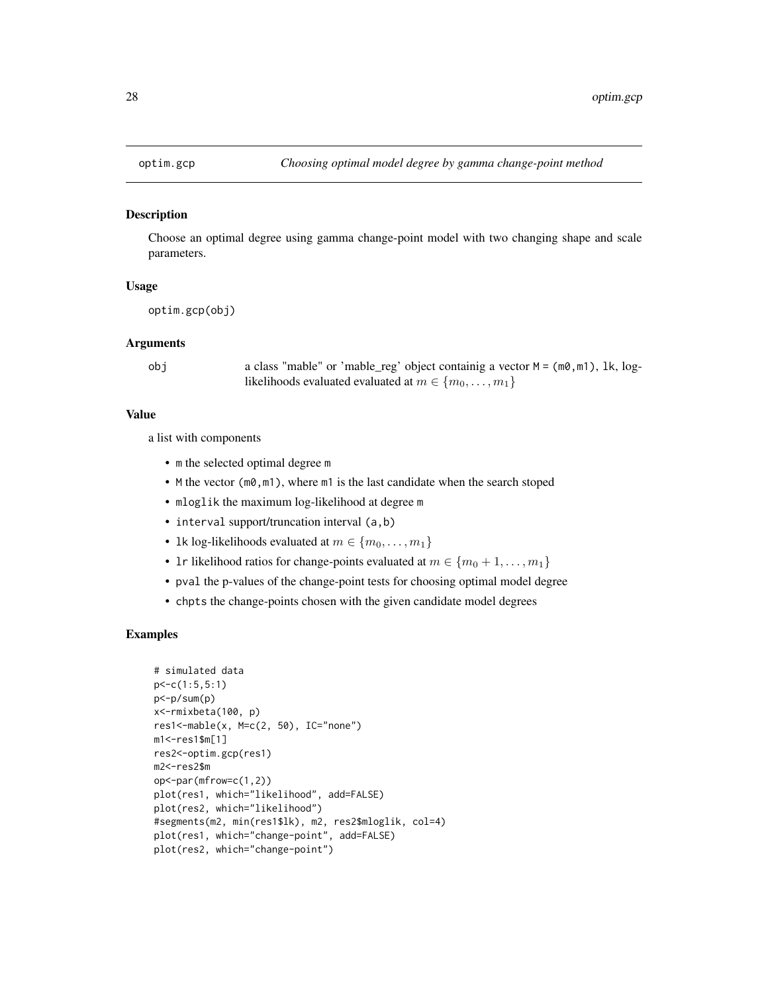<span id="page-27-0"></span>

#### Description

Choose an optimal degree using gamma change-point model with two changing shape and scale parameters.

#### Usage

```
optim.gcp(obj)
```
#### Arguments

obj a class "mable" or 'mable\_reg' object containig a vector M = (m0,m1), lk, loglikelihoods evaluated evaluated at  $m \in \{m_0, \ldots, m_1\}$ 

#### Value

a list with components

- m the selected optimal degree m
- M the vector (m0, m1), where m1 is the last candidate when the search stoped
- mloglik the maximum log-likelihood at degree m
- interval support/truncation interval (a,b)
- 1k log-likelihoods evaluated at  $m \in \{m_0, \ldots, m_1\}$
- 1r likelihood ratios for change-points evaluated at  $m \in \{m_0 + 1, \ldots, m_1\}$
- pval the p-values of the change-point tests for choosing optimal model degree
- chpts the change-points chosen with the given candidate model degrees

```
# simulated data
p<-c(1:5,5:1)
p<-p/sum(p)
x<-rmixbeta(100, p)
res1<-mable(x, M=c(2, 50), IC="none")
m1<-res1$m[1]
res2<-optim.gcp(res1)
m2<-res2$m
op<-par(mfrow=c(1,2))
plot(res1, which="likelihood", add=FALSE)
plot(res2, which="likelihood")
#segments(m2, min(res1$lk), m2, res2$mloglik, col=4)
plot(res1, which="change-point", add=FALSE)
plot(res2, which="change-point")
```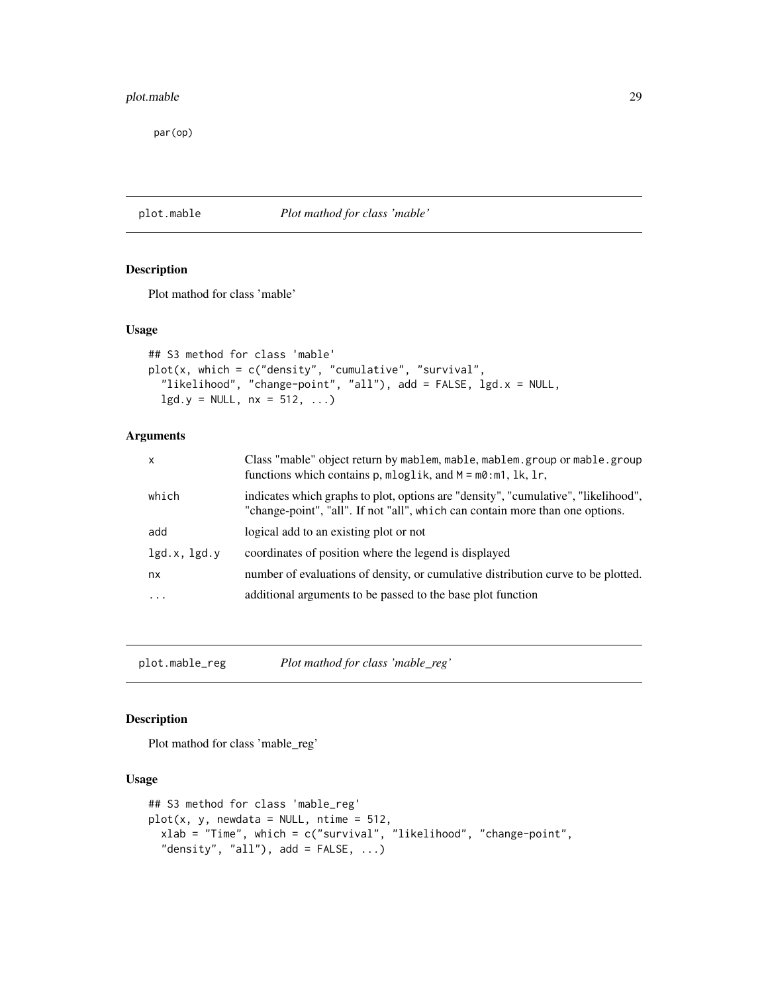# <span id="page-28-0"></span>plot.mable 29

par(op)

# plot.mable *Plot mathod for class 'mable'*

# Description

Plot mathod for class 'mable'

# Usage

```
## S3 method for class 'mable'
plot(x, which = c("density", "cumulative", "survival",
  "likelihood", "change-point", "all"), add = FALSE, lgd.x = NULL,
  lgd.y = NULL, nx = 512, ...
```
# Arguments

| $\mathsf{x}$ | Class "mable" object return by mablem, mable, mablem. group or mable. group<br>functions which contains $p$ , $mloglik$ , and $M = m0$ : $m1$ , $lk$ , $lr$ ,       |
|--------------|---------------------------------------------------------------------------------------------------------------------------------------------------------------------|
| which        | indicates which graphs to plot, options are "density", "cumulative", "likelihood",<br>"change-point", "all". If not "all", which can contain more than one options. |
| add          | logical add to an existing plot or not                                                                                                                              |
| lgd.x, lgd.y | coordinates of position where the legend is displayed                                                                                                               |
| nx           | number of evaluations of density, or cumulative distribution curve to be plotted.                                                                                   |
| $\cdot$      | additional arguments to be passed to the base plot function                                                                                                         |

plot.mable\_reg *Plot mathod for class 'mable\_reg'*

# Description

Plot mathod for class 'mable\_reg'

# Usage

```
## S3 method for class 'mable_reg'
plot(x, y, newdata = NULL, ntime = 512,xlab = "Time", which = c("survival", "likelihood", "change-point",
  "density", "all"), add = FALSE, ...)
```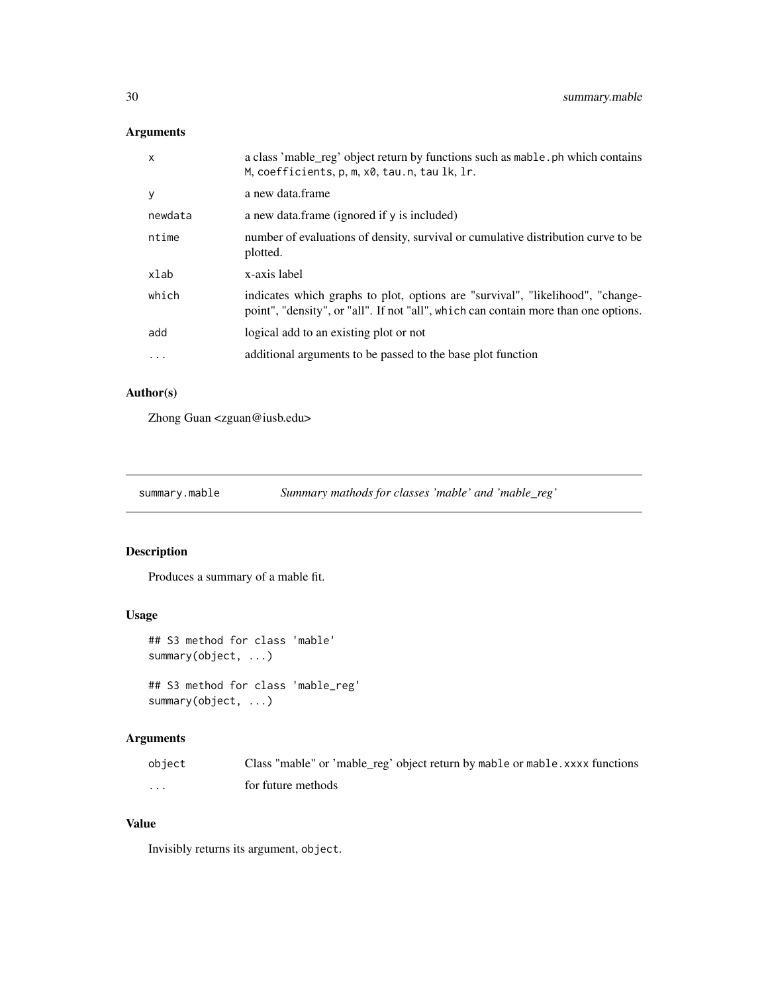# <span id="page-29-0"></span>Arguments

| $\mathsf{x}$ | a class 'mable_reg' object return by functions such as mable. ph which contains<br>M, coefficients, p, m, x0, tau.n, tau lk, lr.                                      |
|--------------|-----------------------------------------------------------------------------------------------------------------------------------------------------------------------|
| <b>V</b>     | a new data frame                                                                                                                                                      |
| newdata      | a new data.frame (ignored if y is included)                                                                                                                           |
| ntime        | number of evaluations of density, survival or cumulative distribution curve to be<br>plotted.                                                                         |
| xlab         | x-axis label                                                                                                                                                          |
| which        | indicates which graphs to plot, options are "survival", "likelihood", "change-<br>point", "density", or "all". If not "all", which can contain more than one options. |
| add          | logical add to an existing plot or not                                                                                                                                |
| .            | additional arguments to be passed to the base plot function                                                                                                           |

# Author(s)

Zhong Guan <zguan@iusb.edu>

summary.mable *Summary mathods for classes 'mable' and 'mable\_reg'*

# Description

Produces a summary of a mable fit.

# Usage

```
## S3 method for class 'mable'
summary(object, ...)
```

```
## S3 method for class 'mable_reg'
summary(object, ...)
```
# Arguments

| object   | Class "mable" or 'mable_reg' object return by mable or mable. xxxx functions |
|----------|------------------------------------------------------------------------------|
| $\cdots$ | for future methods                                                           |

# Value

Invisibly returns its argument, object.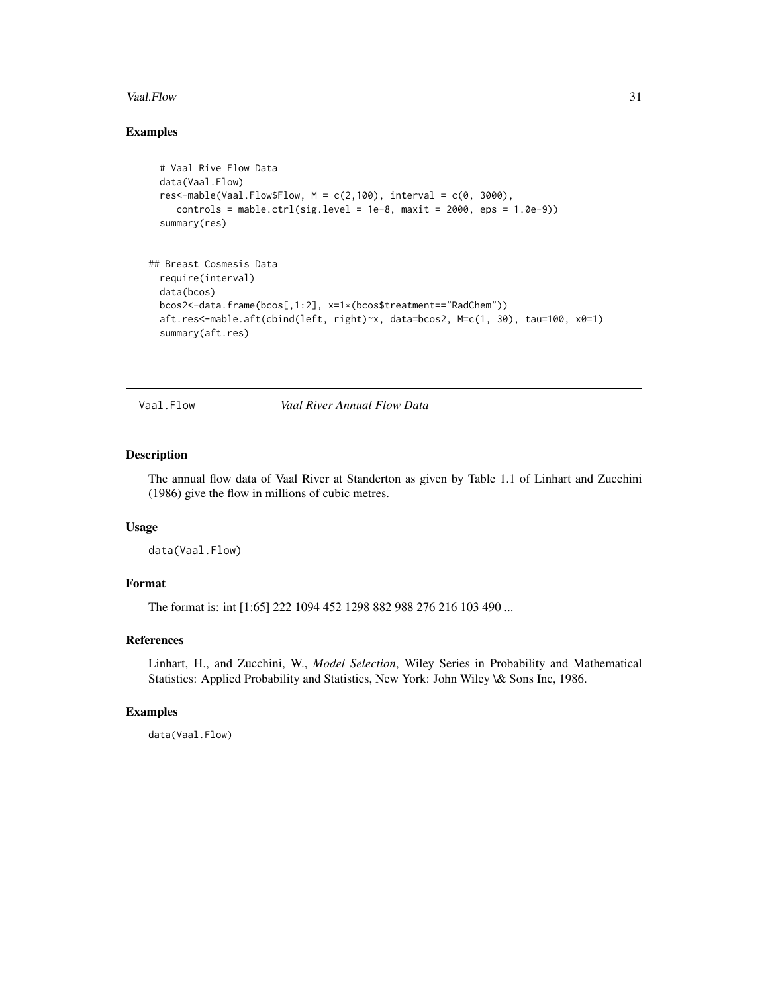#### <span id="page-30-0"></span>Vaal.Flow 31

# Examples

```
# Vaal Rive Flow Data
 data(Vaal.Flow)
 res<-mable(Vaal.Flow$Flow, M = c(2,100), interval = c(0, 3000),
    controls = mable.ctrl(sig.level = 1e-8, maxit = 2000, eps = 1.0e-9))
 summary(res)
## Breast Cosmesis Data
 require(interval)
 data(bcos)
 bcos2<-data.frame(bcos[,1:2], x=1*(bcos$treatment=="RadChem"))
 aft.res<-mable.aft(cbind(left, right)~x, data=bcos2, M=c(1, 30), tau=100, x0=1)
 summary(aft.res)
```
Vaal.Flow *Vaal River Annual Flow Data*

# Description

The annual flow data of Vaal River at Standerton as given by Table 1.1 of Linhart and Zucchini (1986) give the flow in millions of cubic metres.

#### Usage

data(Vaal.Flow)

# Format

The format is: int [1:65] 222 1094 452 1298 882 988 276 216 103 490 ...

# References

Linhart, H., and Zucchini, W., *Model Selection*, Wiley Series in Probability and Mathematical Statistics: Applied Probability and Statistics, New York: John Wiley \& Sons Inc, 1986.

### Examples

data(Vaal.Flow)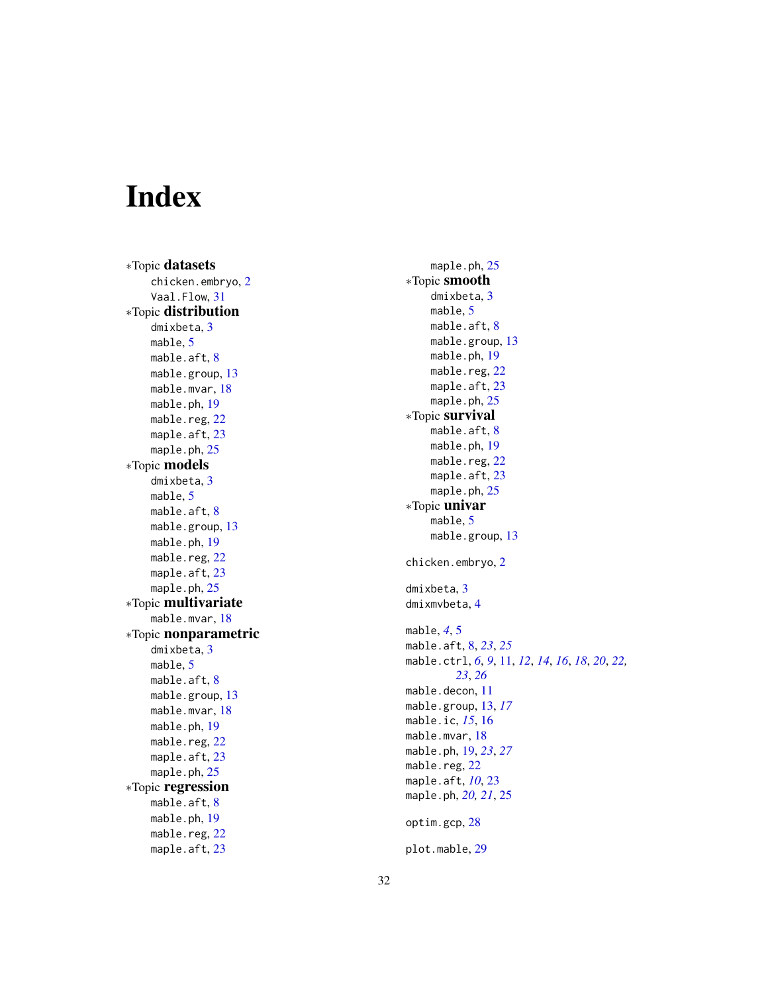# <span id="page-31-0"></span>Index

∗Topic datasets chicken.embryo , [2](#page-1-0) Vaal.Flow , [31](#page-30-0) ∗Topic distribution dmixbeta , [3](#page-2-0) mable , [5](#page-4-0) mable.aft,  $8$ mable.group, [13](#page-12-0) mable.mvar , [18](#page-17-0) mable.ph , [19](#page-18-0) mable.reg, [22](#page-21-0) maple.aft, [23](#page-22-0) maple.ph, [25](#page-24-0) ∗Topic models dmixbeta , [3](#page-2-0) mable, [5](#page-4-0) mable.aft,  $8$ mable.group, [13](#page-12-0) mable.ph , [19](#page-18-0) mable.reg, [22](#page-21-0) maple.aft, [23](#page-22-0) maple.ph, [25](#page-24-0) ∗Topic multivariate mable.mvar, 1<mark>8</mark> ∗Topic nonparametric dmixbeta , [3](#page-2-0) mable, [5](#page-4-0) mable.aft,  $8$ mable.group, [13](#page-12-0) mable.mvar, [18](#page-17-0) mable.ph , [19](#page-18-0) mable.reg, [22](#page-21-0) maple.aft, [23](#page-22-0) maple.ph, [25](#page-24-0) ∗Topic regression mable.aft,  $8$ mable.ph , [19](#page-18-0) mable.reg, [22](#page-21-0) maple.aft, [23](#page-22-0)

maple.ph, [25](#page-24-0) ∗Topic smooth dmixbeta , [3](#page-2-0) mable , [5](#page-4-0) mable.aft, <mark>[8](#page-7-0)</mark> mable.group, [13](#page-12-0) mable.ph , [19](#page-18-0) mable.reg, [22](#page-21-0) maple.aft, [23](#page-22-0) maple.ph, [25](#page-24-0) ∗Topic survival mable.aft, <mark>[8](#page-7-0)</mark> mable.ph , [19](#page-18-0) mable.reg, [22](#page-21-0) maple.aft, [23](#page-22-0) maple.ph, [25](#page-24-0) ∗Topic univar mable , [5](#page-4-0) mable.group, [13](#page-12-0) chicken.embryo , [2](#page-1-0) dmixbeta , [3](#page-2-0) dmixmvbeta , [4](#page-3-0) mable , *[4](#page-3-0)* , [5](#page-4-0) mable.aft , [8](#page-7-0) , *[23](#page-22-0)* , *[25](#page-24-0)* mable.ctrl, [6](#page-5-0), [9](#page-8-0), [11](#page-10-0), [12](#page-11-0), [14](#page-13-0), [16](#page-15-0), [18](#page-17-0), [20](#page-19-0), [22](#page-21-0), *[23](#page-22-0)* , *[26](#page-25-0)* mable.decon, [11](#page-10-0) mable.group , [13](#page-12-0) , *[17](#page-16-0)* mable.ic , *[15](#page-14-0)* , [16](#page-15-0) mable.mvar , [18](#page-17-0) mable.ph , [19](#page-18-0) , *[23](#page-22-0)* , *[27](#page-26-0)* mable.reg, [22](#page-21-0) maple.aft , *[10](#page-9-0)* , [23](#page-22-0) maple.ph, [20](#page-19-0), [21](#page-20-0), [25](#page-24-0) optim.gcp , [28](#page-27-0) plot.mable , [29](#page-28-0)